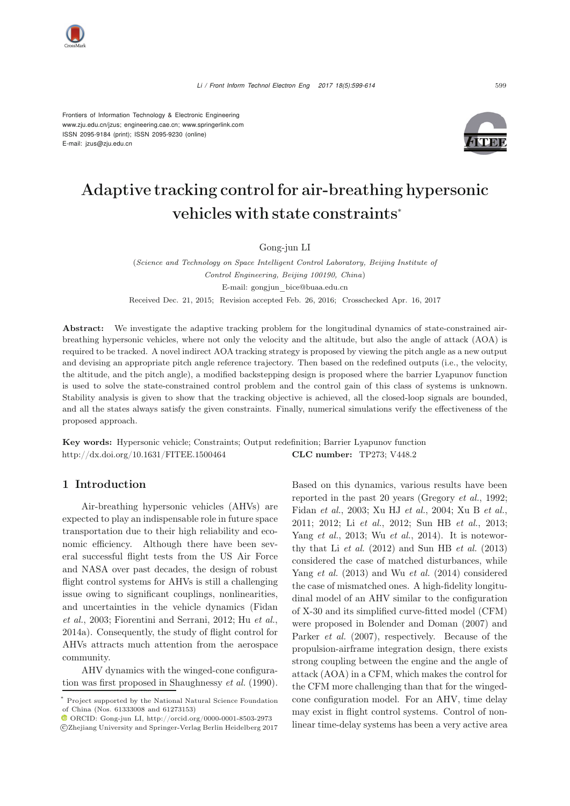Frontiers of Information Technology & Electronic Engineering www.zju.edu.cn/jzus; engineering.cae.cn; www.springerlink.com ISSN 2095-9184 (print); ISSN 2095-9230 (online) E-mail: jzus@zju.edu.cn



# Adaptive tracking control for air-breathing hypersonic vehicles with state constraints<sup>∗</sup>

Gong-jun LI

(*Science and Technology on Space Intelligent Control Laboratory, Beijing Institute of Control Engineering, Beijing 100190, China*) E-mail: gongjun\_bice@buaa.edu.cn Received Dec. 21, 2015; Revision accepted Feb. 26, 2016; Crosschecked Apr. 16, 2017

Abstract: We investigate the adaptive tracking problem for the longitudinal dynamics of state-constrained airbreathing hypersonic vehicles, where not only the velocity and the altitude, but also the angle of attack (AOA) is required to be tracked. A novel indirect AOA tracking strategy is proposed by viewing the pitch angle as a new output and devising an appropriate pitch angle reference trajectory. Then based on the redefined outputs (i.e., the velocity, the altitude, and the pitch angle), a modified backstepping design is proposed where the barrier Lyapunov function is used to solve the state-constrained control problem and the control gain of this class of systems is unknown. Stability analysis is given to show that the tracking objective is achieved, all the closed-loop signals are bounded, and all the states always satisfy the given constraints. Finally, numerical simulations verify the effectiveness of the proposed approach.

Key words: Hypersonic vehicle; Constraints; Output redefinition; Barrier Lyapunov function http://dx.doi.org/10.1631/FITEE.1500464 CLC number: TP273; V448.2

#### 1 Introduction

Air-breathing hypersonic vehicles (AHVs) are expected to play an indispensable role in future space transportation due to their high reliability and economic efficiency. Although there have been several successful flight tests from the US Air Force and NASA over past decades, the design of robust flight control systems for AHVs is still a challenging issue owing to significant couplings, nonlinearities, and [uncertainties](#page-13-0) [in](#page-13-0) [the](#page-13-0) [vehicle](#page-13-0) [dynamics](#page-13-0) [\(](#page-13-0)Fidan *et al.*, [2003;](#page-13-0) [Fiorentini and Serrani, 2012;](#page-13-1) Hu *[et al.](#page-14-0)*, [2014a](#page-14-0)). Consequently, the study of flight control for AHVs attracts much attention from the aerospace community.

AHV dynamics with the winged-cone configuration was first proposed in [Shaughnessy](#page-14-1) *et al.* [\(1990\)](#page-14-1). Based on this dynamics, various results have been reported in the past 20 years (Gregory *et al.*, 1992; Fidan *et al.*, 2003; Xu HJ *et al.*, 2004; Xu B *et al.*, 2011; 2012; Li *et al.*, 2012; Sun HB *et al.*, 2013; Yang *et al.*, 2013; Wu *et al.*, 2014). It is noteworthy that Li *[et al.](#page-14-2)* [\(2012](#page-14-2)) and [Sun HB](#page-14-3) *et al.* [\(2013](#page-14-3)) considered the case of matched disturbances, while [Yang](#page-15-0) *et al.* [\(2013](#page-15-0)) and Wu *[et al.](#page-15-1)* [\(2014](#page-15-1)) considered the case of mismatched ones. A high-fidelity longitudinal model of an AHV similar to the configuration of X-30 and its simplified curve-fitted model (CFM) were proposed in [Bolender and Doman](#page-13-2) [\(2007](#page-13-2)) and [Parker](#page-14-4) *et al.* [\(2007](#page-14-4)), respectively. Because of the propulsion-airframe integration design, there exists strong coupling between the engine and the angle of attack (AOA) in a CFM, which makes the control for the CFM more challenging than that for the wingedcone configuration model. For an AHV, time delay may exist in flight control systems. Control of nonlinear time-delay systems has been a very active area

Project supported by the National Natural Science Foundation of China (Nos. 61333008 and 61273153)

ORCID: Gong-jun LI, http://orcid.org/0000-0001-8503-2973 c Zhejiang University and Springer-Verlag Berlin Heidelberg 2017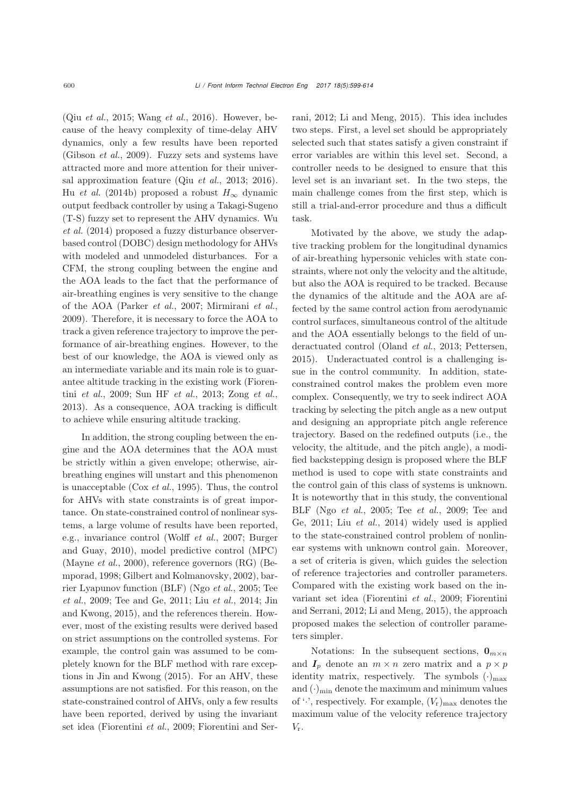(Qiu *[et al.](#page-14-5)*, [2015;](#page-14-5) [Wang](#page-14-6) *et al.*, [2016\)](#page-14-6). However, because of the heavy complexity of time-delay AHV dynamics, only a few results have been reported [\(Gibson](#page-14-7) *et al.*, [2009](#page-14-7)). Fuzzy sets and systems have attracted more and more attention for their universal approximation feature (Qiu *et al.*, 2013; 2016). Hu *[et al.](#page-14-8)* [\(2014b](#page-14-8)) proposed a robust  $H_{\infty}$  dynamic output feedback controller by using a Takagi-Sugeno (T-S[\)](#page-15-1) [fuzzy](#page-15-1) [set](#page-15-1) [to](#page-15-1) [represent](#page-15-1) [the](#page-15-1) [AHV](#page-15-1) [dynamics.](#page-15-1) Wu *et al.* [\(2014](#page-15-1)) proposed a fuzzy di[sturbance observer](#page-13-1)based control (DOBC) design methodology for AHVs with modeled and unmodeled disturbances. For a CFM, the strong coupling between the engine and the AOA leads to the fact that the performance of air-breathing engines is very sensitive to the change of the AOA [\(Parker](#page-14-4) *et al.*, [2007](#page-14-4); [Mirmirani](#page-14-9) *et al.*, [2009](#page-14-9)). Therefore, it is necessary to force the AOA to track a given reference trajectory to improve the performance of air-breathing engines. However, to the best of our knowledge, the AOA is viewed only as an intermediate variable and its main role is to guarantee alti[tude](#page-13-3) [tracking](#page-13-3) [in](#page-13-3) [the](#page-13-3) [existing](#page-13-3) [work](#page-13-3) [\(](#page-13-3)Fiorentini *et al.*, [2009;](#page-13-3) [Sun HF](#page-14-10) *et al.*, [2013](#page-14-10); [Zong](#page-15-2) *et al.*, [2013](#page-15-2)). As a consequence, AOA tracking is difficult to achieve while ensuring altitude tracking.

In addition, the strong coupling between the engine and the AOA determines that the AOA must be strictly within a given envelope; otherwise, airbreathing engines will unstart and this phenomenon is unacceptable (Cox *[et al.](#page-13-4)*, [1995](#page-13-4)). Thus, the control for AHVs with state constraints is of great importance. On state-constrained control of nonlinear systems, a large volume of results have been reported, e.g., inva[riance](#page-13-5) [control](#page-13-5) [\(Wolff](#page-14-11) *et al.*, [2007](#page-14-11); Burger and Guay, [2010](#page-13-5)), model predictive control (MPC) [\(Mayne](#page-14-12) *et al.*[,](#page-13-6) [2000](#page-14-12)[\),](#page-13-6) [reference](#page-13-6) [governors](#page-13-6) [\(RG\)](#page-13-6) [\(](#page-13-6)Bemporad, [1998;](#page-13-6) [Gilbert and Kolmanovsky](#page-14-13), [2002\)](#page-14-13), barrier [Lyapunov](#page-14-15) [function](#page-14-15) [\(BLF\)](#page-14-15) [\(Ngo](#page-14-15) *[et al.](#page-14-14)*, [2005;](#page-14-14) Tee *et al.*, [2009](#page-14-15)[;](#page-14-18) [Tee and Ge](#page-14-16)[,](#page-14-18) [2011;](#page-14-16) [Liu](#page-14-18) *[et al.](#page-14-17)*, [2014;](#page-14-17) Jin and Kwong, [2015\)](#page-14-18), and the references therein. However, most of the existing results were derived based on strict assumptions on the controlled systems. For example, the control gain was assumed to be completely known for the BLF method with rare exceptions in [Jin and Kwong](#page-14-18) [\(2015](#page-14-18)). For an AHV, these assumptions are not satisfied. For this reason, on the state-constrained control of AHVs, only a few results have been reported, derived by using the invariant set idea [\(Fiorentini](#page-13-3) *et al.*, [2009;](#page-13-3) Fiorentini and Serrani, [2012;](#page-13-1) [Li and Meng, 2015](#page-14-19)). This idea includes two steps. First, a level set should be appropriately selected such that states satisfy a given constraint if error variables are within this level set. Second, a controller needs to be designed to ensure that this level set is an invariant set. In the two steps, the main challenge comes from the first step, which is still a trial-and-error procedure and thus a difficult task.

Motivated by the above, we study the adaptive tracking problem for the longitudinal dynamics of air-breathing hypersonic vehicles with state constraints, where not only the velocity and the altitude, but also the AOA is required to be tracked. Because the dynamics of the altitude and the AOA are affected by the same control action from aerodynamic control surfaces, simultaneous control of the altitude and the AOA essentially belongs to the field of underactuated control [\(Oland](#page-14-20) *et al.*, [2013;](#page-14-20) [Pettersen](#page-14-21), [2015](#page-14-21)). Underactuated control is a challenging issue in the control community. In addition, stateconstrained control makes the problem even more complex. Consequently, we try to seek indirect AOA tracking by selecting the pitch angle as a new output and designing an appropriate pitch angle reference trajectory. Based on the redefined outputs (i.e., the velocity, the altitude, and the pitch angle), a modified backstepping design is proposed where the BLF method is used to cope with state constraints and the control gain of this class of systems is unknown. It is noteworthy that in this study, the conventional BLF (Ngo *[et al.](#page-14-14)*[,](#page-14-16) [2005](#page-14-14)[;](#page-14-16) [Tee](#page-14-16) *[et al.](#page-14-15)*, [2009](#page-14-15); Tee and Ge, [2011;](#page-14-16) Liu *[et al.](#page-14-17)*, [2014](#page-14-17)) widely used is applied to the state-constrained control problem of nonlinear systems with unknown control gain. Moreover, a set of criteria is given, which guides the selection of reference trajectories and controller parameters. Compared with the existing work based on the invariant set [idea](#page-13-1) [\(Fiorentini](#page-13-3) *et al.*, [2009](#page-13-3); Fiorentini and Serrani, [2012](#page-13-1); [Li and Meng, 2015](#page-14-19)), the approach proposed makes the selection of controller parameters simpler.

Notations: In the subsequent sections,  $\mathbf{0}_{m \times n}$ and  $I_p$  denote an  $m \times n$  zero matrix and a  $p \times p$ identity matrix, respectively. The symbols  $(\cdot)_{\text{max}}$ and  $(\cdot)_{\text{min}}$  denote the maximum and minimum values of  $\cdot \cdot$ , respectively. For example,  $(V_r)_{\text{max}}$  denotes the maximum value of the velocity reference trajectory  $V_{\rm r}$ .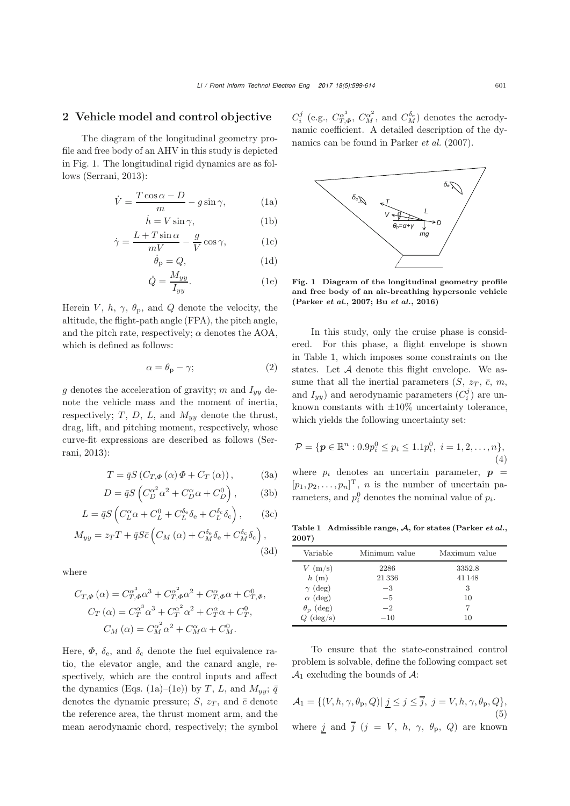#### 2 Vehicle model and control objective

The diagram of the longitudinal geometry profile and free body of an AHV in this study is depicted in Fig. [1.](#page-2-0) The longitudinal rigid dynamics are as follows [\(Serrani, 2013\)](#page-14-22):

$$
\dot{V} = \frac{T\cos\alpha - D}{m} - g\sin\gamma,\tag{1a}
$$
\n
$$
\dot{h} = V\sin\gamma,\tag{1b}
$$

$$
\dot{h} = V \sin \gamma,\tag{1b}
$$

$$
\dot{\gamma} = \frac{L + T \sin \alpha}{mV} - \frac{g}{V} \cos \gamma, \qquad (1c)
$$
\n
$$
\dot{\phi} = O \qquad (1d)
$$

$$
\dot{\theta}_{\mathbf{p}} = Q,\tag{1d}
$$

$$
\dot{Q} = \frac{M_{yy}}{I_{yy}}.\t(1e)
$$

Herein V, h,  $\gamma$ ,  $\theta_p$ , and Q denote the velocity, the altitude, the flight-path angle (FPA), the pitch angle, and the pitch rate, respectively;  $\alpha$  denotes the AOA, which is defined as follows:

<span id="page-2-5"></span>
$$
\alpha = \theta_{\rm p} - \gamma; \tag{2}
$$

g denotes the acceleration of gravity; m and  $I_{yy}$  denote the vehicle mass and the moment of inertia, respectively;  $T$ ,  $D$ ,  $L$ , and  $M_{yy}$  denote the thrust, drag, lift, and pitching moment, respectively, whose cur[ve-fit](#page-14-22) [expressions](#page-14-22) [are](#page-14-22) [described](#page-14-22) [as](#page-14-22) [follows](#page-14-22) [\(](#page-14-22)Serrani, [2013](#page-14-22)):

$$
T = \bar{q}S(C_{T,\Phi}(\alpha)\Phi + C_T(\alpha)), \tag{3a}
$$

$$
D = \bar{q}S\left(C_D^{\alpha^2} \alpha^2 + C_D^{\alpha} \alpha + C_D^0\right),\tag{3b}
$$

$$
L = \bar{q}S\left(C_L^{\alpha}\alpha + C_L^0 + C_L^{\delta_e}\delta_e + C_L^{\delta_c}\delta_c\right),\qquad(3c)
$$

$$
M_{yy} = z_T T + \bar{q} S \bar{c} \left( C_M \left( \alpha \right) + C_M^{\delta_e} \delta_e + C_M^{\delta_c} \delta_c \right), \tag{3d}
$$

where

$$
C_{T,\Phi}(\alpha) = C_{T,\Phi}^{\alpha^3} \alpha^3 + C_{T,\Phi}^{\alpha^2} \alpha^2 + C_{T,\Phi}^{\alpha} \alpha + C_{T,\Phi}^0,
$$
  
\n
$$
C_T(\alpha) = C_T^{\alpha^3} \alpha^3 + C_T^{\alpha^2} \alpha^2 + C_T^{\alpha} \alpha + C_T^0,
$$
  
\n
$$
C_M(\alpha) = C_M^{\alpha^2} \alpha^2 + C_M^{\alpha} \alpha + C_M^0.
$$

Here,  $\Phi$ ,  $\delta_e$ , and  $\delta_c$  denote the fuel equivalence ratio, the elevator angle, and the canard angle, respectively, which are the control inputs and affect the dynamics (Eqs. [\(1a\)](#page-2-1)–[\(1e\)](#page-2-2)) by T, L, and  $M_{yy}$ ;  $\bar{q}$ denotes the dynamic pressure; S,  $z_T$ , and  $\bar{c}$  denote the reference area, the thrust moment arm, and the mean aerodynamic chord, respectively; the symbol

 $C_i^j$  (e.g.,  $C_{T,\phi}^{\alpha^3}$ ,  $C_{\alpha}^{\alpha^2}$ , and  $C_{M}^{\delta_e}$ ) denotes the aerody-<br>namig coefficient. A detailed description of the dynamic coefficient. A detailed description of the dynamics can be found in [Parker](#page-14-4) *et al.* [\(2007](#page-14-4)).

<span id="page-2-8"></span><span id="page-2-1"></span>

<span id="page-2-7"></span><span id="page-2-6"></span><span id="page-2-2"></span><span id="page-2-0"></span>Fig. 1 Diagram of the longitudinal geometry profile and free body of an air-breathing hypersonic vehicle [\(Parker](#page-14-4) *et al.*, [2007](#page-14-4); Bu *[et al.](#page-13-7)*, [2016\)](#page-13-7)

In this study, only the cruise phase is considered. For this phase, a flight envelope is shown in Table [1,](#page-2-3) which imposes some constraints on the states. Let  $A$  denote this flight envelope. We assume that all the inertial parameters  $(S, z_T, \bar{c}, m,$ and  $I_{yy}$ ) and aerodynamic parameters  $(C_i^j)$  are un-<br>linews constants with  $\pm 10\%$  uncertainty telescope known constants with  $\pm 10\%$  uncertainty tolerance, which yields the following uncertainty set:

<span id="page-2-11"></span>
$$
\mathcal{P} = \{ \mathbf{p} \in \mathbb{R}^n : 0.9p_i^0 \le p_i \le 1.1p_i^0, \ i = 1, 2, \dots, n \},\
$$
(4)

<span id="page-2-10"></span><span id="page-2-9"></span>where  $p_i$  denotes an uncertain parameter,  $p =$  $[p_1, p_2, \ldots, p_n]^T$ , *n* is the number of uncertain pa-<br>paratog and  $p^0$  denotes the nominal value of *n* rameters, and  $p_i^0$  denotes the nominal value of  $p_i$ .

<span id="page-2-12"></span><span id="page-2-3"></span>Table 1 Admissible range, *A*, for states [\(Parker](#page-14-4) *et al.*, [2007\)](#page-14-4)

<span id="page-2-13"></span>

| Variable               | Minimum value | Maximum value |
|------------------------|---------------|---------------|
| $V~(\text{m/s})$       | 2286          | 3352.8        |
| h(m)                   | 21336         | 41 1 48       |
| $\gamma$ (deg)         | $-3$          | З             |
| $\alpha$ (deg)         | $-5$          | 10            |
| $\theta_{\rm p}$ (deg) | $-2$          |               |
| $Q$ (deg/s)            | $-10$         | 10            |

To ensure that the state-constrained control problem is solvable, define the following compact set  $\mathcal{A}_1$  excluding the bounds of  $\mathcal{A}$ :

<span id="page-2-4"></span>
$$
\mathcal{A}_1 = \{ (V, h, \gamma, \theta_p, Q) | \underline{j} \le j \le \overline{j}, j = V, h, \gamma, \theta_p, Q \},
$$
  
(5)  
where  $\underline{j}$  and  $\overline{j}$   $(j = V, h, \gamma, \theta_p, Q)$  are known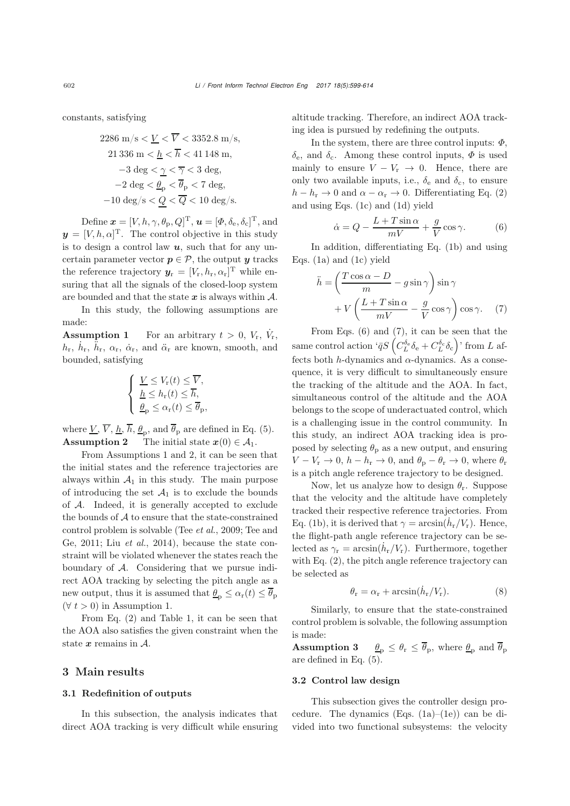constants, satisfying

2286 m/s 
$$
\leq \underline{V} < \overline{V} < 3352.8 \text{ m/s}
$$
, \n21 336 m  $< \underline{h} < \overline{h} < 41148 \text{ m}$ , \n $-3 \text{ deg} < \underline{\gamma} < \overline{\gamma} < 3 \text{ deg}$ , \n $-2 \text{ deg} < \underline{\theta}_p < \overline{\theta}_p < 7 \text{ deg}$ , \n $-10 \text{ deg/s} < \underline{Q} < \overline{Q} < 10 \text{ deg/s}$ .

Define  $\mathbf{x} = [V, h, \gamma, \theta_p, Q]^{\mathrm{T}}$ ,  $\mathbf{u} = [\Phi, \delta_e, \delta_e]^{\mathrm{T}}$ , and<br> $[V, h, \delta_e]^{\mathrm{T}}$ . The control objective in this study  $y = [V, h, \alpha]^{\mathrm{T}}$ . The control objective in this study is to design a control law *u*, such that for any uncertain parameter vector  $p \in \mathcal{P}$ , the output *y* tracks the reference trajectory  $y_r = [V_r, h_r, \alpha_r]^T$  while en-<br>guing that all the gignals of the glassed loop gystem suring that all the signals of the closed-loop system are bounded and that the state  $x$  is always within  $A$ .

In this study, the following assumptions are made:

<span id="page-3-0"></span>**Assumption 1** For an arbitrary  $t > 0$ ,  $V_r$ ,  $\dot{V}_r$ ,  $\dot{V}_r$ ,  $\dot{V}_r$ ,  $\dot{V}_r$  $h_{\rm r}$ ,  $\dot{h}_{\rm r}$ ,  $\ddot{h}_{\rm r}$ ,  $\alpha_{\rm r}$ ,  $\dot{\alpha}_{\rm r}$ , and  $\ddot{\alpha}_{\rm r}$  are known, smooth, and bounded, satisfying

$$
\begin{cases} \n\frac{V}{\Delta} \leq V_{\rm r}(t) \leq \overline{V}, \\ \n\frac{h}{\Delta} \leq h_{\rm r}(t) \leq \overline{h}, \\ \n\frac{\theta_{\rm p}}{\Delta} \leq \alpha_{\rm r}(t) \leq \overline{\theta}_{\rm p}, \n\end{cases}
$$

<span id="page-3-1"></span>where  $\underline{V}$ ,  $\overline{V}$ ,  $\underline{h}$ ,  $\overline{h}$ ,  $\underline{\theta}_{p}$ , and  $\overline{\theta}_{p}$  are defined in Eq. [\(5\)](#page-2-4). **Assumption 2** The initial state  $x(0) \in \mathcal{A}_1$ .

From Assumptions [1](#page-3-0) and [2,](#page-3-1) it can be seen that the initial states and the reference trajectories are always within  $A_1$  in this study. The main purpose of introducing the set  $A_1$  is to exclude the bounds of A. Indeed, it is generally accepted to exclude the bounds of  $A$  to ensure that the state-constrained co[ntrol](#page-14-16) [problem](#page-14-16) [is](#page-14-16) [solvable](#page-14-16) [\(Tee](#page-14-16) *[et al.](#page-14-15)*, [2009](#page-14-15); Tee and Ge, [2011;](#page-14-16) Liu *[et al.](#page-14-17)*, [2014\)](#page-14-17), because the state constraint will be violated whenever the states reach the boundary of A. Considering that we pursue indirect AOA tracking by selecting the pitch angle as a new output, thus it is assumed that  $\theta_p \leq \alpha_r(t) \leq \overline{\theta}_p$  $(\forall t > 0)$  in Assumption [1.](#page-3-0)

From Eq. [\(2\)](#page-2-5) and Table [1,](#page-2-3) it can be seen that the AOA also satisfies the given constraint when the state *x* remains in A.

#### 3 Main results

#### 3.1 Redefinition of outputs

In this subsection, the analysis indicates that direct AOA tracking is very difficult while ensuring altitude tracking. Therefore, an indirect AOA tracking idea is pursued by redefining the outputs.

In the system, there are three control inputs:  $\Phi$ ,  $\delta_{\rm e}$ , and  $\delta_{\rm c}$ . Among these control inputs,  $\Phi$  is used mainly to ensure  $V - V_r \rightarrow 0$ . Hence, there are only two available inputs, i.e.,  $\delta_e$  and  $\delta_c$ , to ensure  $h - h_r \to 0$  and  $\alpha - \alpha_r \to 0$ . Differentiating Eq. [\(2\)](#page-2-5) and using Eqs. [\(1c\)](#page-2-6) and [\(1d\)](#page-2-7) yield

<span id="page-3-2"></span>
$$
\dot{\alpha} = Q - \frac{L + T \sin \alpha}{mV} + \frac{g}{V} \cos \gamma.
$$
\nIn addition, differentiating Eq. (1b) and using

Eqs. [\(1a\)](#page-2-1) and [\(1c\)](#page-2-6) yield

<span id="page-3-3"></span>
$$
\ddot{h} = \left(\frac{T\cos\alpha - D}{m} - g\sin\gamma\right)\sin\gamma + V\left(\frac{L + T\sin\alpha}{mV} - \frac{g}{V}\cos\gamma\right)\cos\gamma.
$$
 (7)

From Eqs. [\(6\)](#page-3-2) and [\(7\)](#page-3-3), it can be seen that the same control action ' $\bar{q}S\left(C_L^{\delta_e}\delta_e + C_L^{\delta_c}\delta_c\right)$ ' from L affects both h-dynamics and  $\alpha$ -dynamics. As a consequence, it is very difficult to simultaneously ensure the tracking of the altitude and the AOA. In fact, simultaneous control of the altitude and the AOA belongs to the scope of underactuated control, which is a challenging issue in the control community. In this study, an indirect AOA tracking idea is proposed by selecting  $\theta_p$  as a new output, and ensuring  $V - V_r \rightarrow 0$ ,  $h - h_r \rightarrow 0$ , and  $\theta_p - \theta_r \rightarrow 0$ , where  $\theta_r$ is a pitch angle reference trajectory to be designed.

Now, let us analyze how to design  $\theta_r$ . Suppose that the velocity and the altitude have completely tracked their respective reference trajectories. From Eq. [\(1b\)](#page-2-8), it is derived that  $\gamma = \arcsin(h_r/V_r)$ . Hence, the flight-path angle reference trajectory can be selected as  $\gamma_r = \arcsin(h_r/V_r)$ . Furthermore, together with Eq. [\(2\)](#page-2-5), the pitch angle reference trajectory can be selected as

<span id="page-3-5"></span>
$$
\theta_{\rm r} = \alpha_{\rm r} + \arcsin(\dot{h}_{\rm r}/V_{\rm r}).\tag{8}
$$

Similarly, to ensure that the state-constrained control problem is solvable, the following assumption is made:

<span id="page-3-4"></span>**Assumption 3**  $\theta_p \leq \theta_r \leq \overline{\theta}_p$ , where  $\underline{\theta}_p$  and  $\overline{\theta}_p$ are defined in Eq. [\(5\)](#page-2-4).

#### 3.2 Control law design

This subsection gives the controller design procedure. The dynamics (Eqs.  $(1a)$ – $(1e)$ ) can be divided into two functional subsystems: the velocity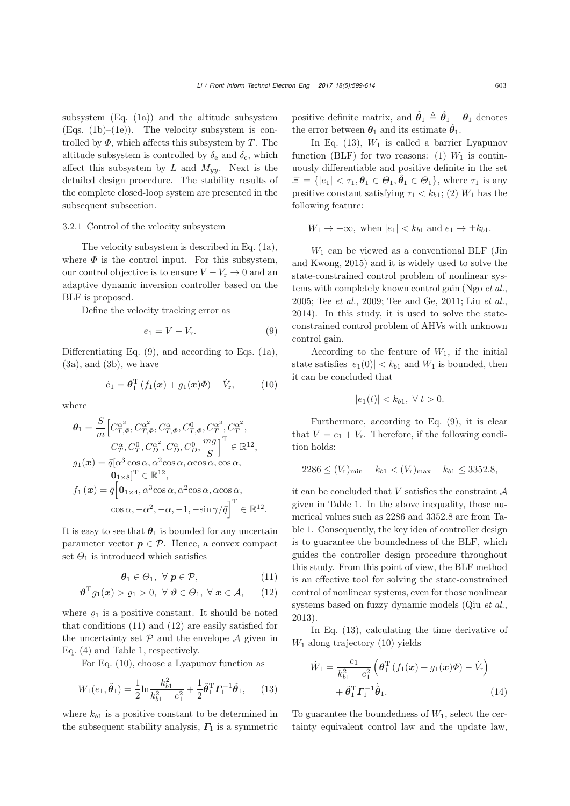subsystem  $(Eq. (1a))$  $(Eq. (1a))$  $(Eq. (1a))$  and the altitude subsystem  $(Eqs. (1b)–(1e))$  $(Eqs. (1b)–(1e))$  $(Eqs. (1b)–(1e))$  $(Eqs. (1b)–(1e))$  $(Eqs. (1b)–(1e))$ . The velocity subsystem is controlled by  $\Phi$ , which affects this subsystem by T. The altitude subsystem is controlled by  $\delta_e$  and  $\delta_c$ , which affect this subsystem by L and  $M_{yy}$ . Next is the detailed design procedure. The stability results of the complete closed-loop system are presented in the subsequent subsection.

#### 3.2.1 Control of the velocity subsystem

The velocity subsystem is described in Eq. [\(1a\)](#page-2-1), where  $\Phi$  is the control input. For this subsystem, our control objective is to ensure  $V - V_r \rightarrow 0$  and an adaptive dynamic inversion controller based on the BLF is proposed.

Define the velocity tracking error as

<span id="page-4-0"></span>
$$
e_1 = V - V_r. \tag{9}
$$

Differentiating Eq.  $(9)$ , and according to Eqs.  $(1a)$ ,  $(3a)$ , and  $(3b)$ , we have

<span id="page-4-3"></span>
$$
\dot{e}_1 = \boldsymbol{\theta}_1^{\mathrm{T}} \left( f_1(\boldsymbol{x}) + g_1(\boldsymbol{x}) \boldsymbol{\Phi} \right) - \dot{V}_r, \qquad (10)
$$

where

$$
\theta_1 = \frac{S}{m} \Big[ C_{T,\Phi}^{\alpha^3}, C_{T,\Phi}^{\alpha^2}, C_{T,\Phi}^{\alpha}, C_{T,\Phi}^0, C_T^{\alpha^3}, C_T^{\alpha^2},
$$
  
\n
$$
C_T^{\alpha}, C_T^0, C_D^{\alpha^2}, C_D^{\alpha}, C_D^0, \frac{mg}{S} \Big]^{\mathrm{T}} \in \mathbb{R}^{12},
$$
  
\n
$$
g_1(\boldsymbol{x}) = \bar{q} \Big[ \alpha^3 \cos \alpha, \alpha^2 \cos \alpha, \alpha \cos \alpha, \cos \alpha,
$$
  
\n
$$
\mathbf{0}_{1 \times 8} \Big]^{\mathrm{T}} \in \mathbb{R}^{12},
$$
  
\n
$$
f_1(\boldsymbol{x}) = \bar{q} \Big[ \mathbf{0}_{1 \times 4}, \alpha^3 \cos \alpha, \alpha^2 \cos \alpha, \alpha \cos \alpha,
$$
  
\n
$$
\cos \alpha, -\alpha^2, -\alpha, -1, -\sin \gamma / \bar{q} \Big]^{\mathrm{T}} \in \mathbb{R}^{12}.
$$

It is easy to see that  $\theta_1$  is bounded for any uncertain parameter vector  $p \in \mathcal{P}$ . Hence, a convex compact set  $\Theta_1$  is introduced which satisfies

$$
\boldsymbol{\theta}_1 \in \Theta_1, \ \forall \ \boldsymbol{p} \in \mathcal{P}, \tag{11}
$$

$$
\boldsymbol{\vartheta}^{\mathrm{T}} g_1(\boldsymbol{x}) > \varrho_1 > 0, \ \forall \ \boldsymbol{\vartheta} \in \Theta_1, \ \forall \ \boldsymbol{x} \in \mathcal{A}, \qquad (12)
$$

where  $\rho_1$  is a positive constant. It should be noted that conditions [\(11\)](#page-4-1) and [\(12\)](#page-4-2) are easily satisfied for the uncertainty set  $P$  and the envelope  $\mathcal A$  given in Eq. [\(4\)](#page-2-11) and Table 1, respectively.

For Eq. [\(10\)](#page-4-3), choose a Lyapunov function as

<span id="page-4-4"></span>
$$
W_1(e_1, \tilde{\theta}_1) = \frac{1}{2} \ln \frac{k_{b1}^2}{k_{b1}^2 - e_1^2} + \frac{1}{2} \tilde{\theta}_1^{\mathrm{T}} \Gamma_1^{-1} \tilde{\theta}_1, \quad (13)
$$

where  $k_{b1}$  is a positive constant to be determined in the subsequent stability analysis,  $\Gamma_1$  is a symmetric

positive definite matrix, and  $\tilde{\theta}_1 \triangleq \hat{\theta}_1 - \theta_1$  denotes the error between  $\theta_1$  and its estimate  $\hat{\theta}_1$ .

In Eq.  $(13)$ ,  $W_1$  is called a barrier Lyapunov function (BLF) for two reasons: (1)  $W_1$  is continuously differentiable and positive definite in the set  $\mathcal{Z} = \{ |e_1| < \tau_1, \theta_1 \in \Theta_1, \hat{\theta}_1 \in \Theta_1 \},\$  where  $\tau_1$  is any positive constant satisfying  $\tau_1 < k_{b1}$ ; (2)  $W_1$  has the following feature:

$$
W_1 \rightarrow +\infty
$$
, when  $|e_1| < k_{b1}$  and  $e_1 \rightarrow \pm k_{b1}$ .

 $W_1$  ca[n](#page-14-18) [be](#page-14-18) [viewed](#page-14-18) [as](#page-14-18) [a](#page-14-18) [conventional](#page-14-18) [BLF](#page-14-18) [\(](#page-14-18)Jin and Kwong, [2015](#page-14-18)) and it is widely used to solve the state-constrained control problem of nonlinear systems with completely known control gain (Ngo *[et al.](#page-14-14)*, [2005](#page-14-14); Tee *[et al.](#page-14-15)*, [2009](#page-14-15); [Tee and Ge, 2011](#page-14-16); Liu *[et al.](#page-14-17)*, [2014](#page-14-17)). In this study, it is used to solve the stateconstrained control problem of AHVs with unknown control gain.

According to the feature of  $W_1$ , if the initial state satisfies  $|e_1(0)| < k_{b1}$  and  $W_1$  is bounded, then it can be concluded that

$$
|e_1(t)| < k_{b1}, \ \forall \ t > 0.
$$

Furthermore, according to Eq. [\(9\)](#page-4-0), it is clear that  $V = e_1 + V_r$ . Therefore, if the following condition holds:

$$
2286 \le (V_r)_{\min} - k_{b1} < (V_r)_{\max} + k_{b1} \le 3352.8,
$$

it can be concluded that V satisfies the constraint  $A$ given in Table 1. In the above inequality, those numerical values such as <sup>2286</sup> and <sup>3352</sup>.<sup>8</sup> are from Table 1. Consequently, the key idea of controller design is to guarantee the boundedness of the BLF, which guides the controller design procedure throughout this study. From this point of view, the BLF method is an effective tool for solving the state-constrained control of nonlinear systems, even for those nonlinear systems based on fuzzy dynamic models (Qiu *[et al.](#page-14-23)*, [2013](#page-14-23)).

<span id="page-4-2"></span><span id="page-4-1"></span>In Eq. [\(13\)](#page-4-4), calculating the time derivative of  $W_1$  along trajectory [\(10\)](#page-4-3) yields

<span id="page-4-5"></span>
$$
\dot{W}_1 = \frac{e_1}{k_{b1}^2 - e_1^2} \left( \boldsymbol{\theta}_1^{\mathrm{T}} \left( f_1(\boldsymbol{x}) + g_1(\boldsymbol{x}) \boldsymbol{\Phi} \right) - \dot{V}_r \right) \n+ \tilde{\boldsymbol{\theta}}_1^{\mathrm{T}} \boldsymbol{\varGamma}_1^{-1} \dot{\boldsymbol{\theta}}_1.
$$
\n(14)

To guarantee the boundedness of  $W_1$ , select the certainty equivalent control law and the update law,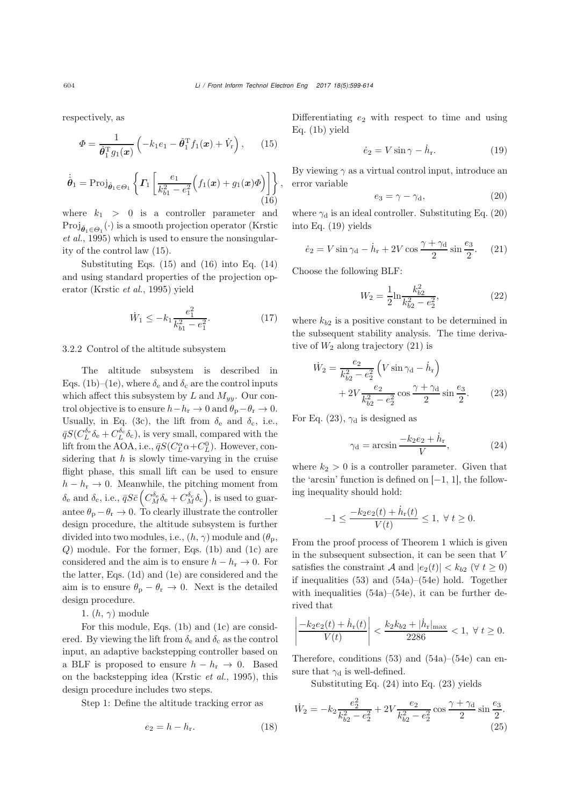respectively, as

<span id="page-5-0"></span>
$$
\Phi = \frac{1}{\hat{\theta}_1^{\mathrm{T}} g_1(\boldsymbol{x})} \left( -k_1 e_1 - \hat{\theta}_1^{\mathrm{T}} f_1(\boldsymbol{x}) + \dot{V}_r \right), \qquad (15)
$$

<span id="page-5-1"></span>
$$
\dot{\hat{\boldsymbol{\theta}}}_1 = \text{Proj}_{\hat{\boldsymbol{\theta}}_1 \in \Theta_1} \left\{ \boldsymbol{\varGamma}_1 \left[ \frac{e_1}{k_{b1}^2 - e_1^2} \Big( f_1(\boldsymbol{x}) + g_1(\boldsymbol{x}) \Phi \Big) \right] \right\},\tag{16}
$$

where  $k_1 > 0$  is a controller parameter and Proj*θ*ˆ1∈Θ<sup>1</sup> (·) [is](#page-14-24) [a](#page-14-24) [smooth](#page-14-24) [projection](#page-14-24) [operator](#page-14-24) [\(](#page-14-24)Krstic *et al.*, [1995](#page-14-24)) which is used to ensure the nonsingularity of the control law [\(15\)](#page-5-0).

Substituting Eqs.  $(15)$  and  $(16)$  into Eq.  $(14)$ and using standard properties of the projection operator [\(Krstic](#page-14-24) *et al.*, [1995](#page-14-24)) yield

<span id="page-5-10"></span>
$$
\dot{W}_1 \le -k_1 \frac{e_1^2}{k_{b1}^2 - e_1^2}.\tag{17}
$$

3.2.2 Control of the altitude subsystem

The altitude subsystem is described in Eqs. [\(1b\)](#page-2-8)–[\(1e\)](#page-2-2), where  $\delta_e$  and  $\delta_c$  are the control inputs which affect this subsystem by L and  $M_{yy}$ . Our control objective is to ensure  $h-h_r \to 0$  and  $\theta_p-\theta_r \to 0$ . Usually, in Eq. [\(3c\)](#page-2-12), the lift from  $\delta_e$  and  $\delta_c$ , i.e.,  $\bar{q}S(C_L^{\delta_e}\delta_e + C_L^{\delta_c}\delta_c)$ , is very small, compared with the lift from the AOA, i.e.,  $\bar{q}S(C_L^{\alpha}\alpha+C_L^0)$ . However, con-<br>gidoning that h is claruly time youring in the equipe sidering that  $h$  is slowly time-varying in the cruise flight phase, this small lift can be used to ensure  $h - h_r \rightarrow 0$ . Meanwhile, the pitching moment from  $\delta_{\rm e}$  and  $\delta_{\rm c}$ , i.e.,  $\bar{q}S\bar{c} \left(C_M^{\delta_{\rm e}}\delta_{\rm e} + C_M^{\delta_{\rm c}}\delta_{\rm c}\right)$ , is used to guarantee  $\theta_{\rm p} - \theta_{\rm r} \rightarrow 0$ . To clearly illustrate the controller design procedure, the altitude subsystem is further divided into two modules, i.e.,  $(h, \gamma)$  module and  $(\theta_{p},$ Q) module. For the former, Eqs. [\(1b\)](#page-2-8) and [\(1c\)](#page-2-6) are considered and the aim is to ensure  $h - h_r \to 0$ . For the latter, Eqs. [\(1d\)](#page-2-7) and [\(1e\)](#page-2-2) are considered and the aim is to ensure  $\theta_{\rm p} - \theta_{\rm r} \to 0$ . Next is the detailed design procedure.

1.  $(h, \gamma)$  module

For this module, Eqs. [\(1b\)](#page-2-8) and [\(1c\)](#page-2-6) are considered. By viewing the lift from  $\delta_e$  and  $\delta_c$  as the control input, an adaptive backstepping controller based on a BLF is proposed to ensure  $h - h_r \rightarrow 0$ . Based on the backstepping idea [\(Krstic](#page-14-24) *et al.*, [1995\)](#page-14-24), this design procedure includes two steps.

Step 1: Define the altitude tracking error as

<span id="page-5-8"></span>
$$
e_2 = h - h_r. \tag{18}
$$

Differentiating  $e_2$  with respect to time and using Eq. [\(1b\)](#page-2-8) yield

<span id="page-5-3"></span>
$$
\dot{e}_2 = V \sin \gamma - \dot{h}_r. \tag{19}
$$

By viewing  $\gamma$  as a virtual control input, introduce an error variable

<span id="page-5-2"></span>
$$
e_3 = \gamma - \gamma_d, \tag{20}
$$

where  $\gamma_d$  is an ideal controller. Substituting Eq. [\(20\)](#page-5-2) into Eq. [\(19\)](#page-5-3) yields

<span id="page-5-4"></span>
$$
\dot{e}_2 = V \sin \gamma_{\rm d} - \dot{h}_{\rm r} + 2V \cos \frac{\gamma + \gamma_{\rm d}}{2} \sin \frac{e_3}{2}.
$$
 (21)

Choose the following BLF:

<span id="page-5-9"></span>
$$
W_2 = \frac{1}{2} \ln \frac{k_{b2}^2}{k_{b2}^2 - e_2^2},\tag{22}
$$

where  $k_{b2}$  is a positive constant to be determined in the subsequent stability analysis. The time derivative of  $W_2$  along trajectory [\(21\)](#page-5-4) is

$$
\dot{W}_2 = \frac{e_2}{k_{b2}^2 - e_2^2} \left( V \sin \gamma_d - \dot{h}_r \right) \n+ 2V \frac{e_2}{k_{b2}^2 - e_2^2} \cos \frac{\gamma + \gamma_d}{2} \sin \frac{e_3}{2}.
$$
\n(23)

For Eq. [\(23\)](#page-5-5),  $\gamma_d$  is designed as

<span id="page-5-6"></span><span id="page-5-5"></span>
$$
\gamma_{\rm d} = \arcsin \frac{-k_2 e_2 + \dot{h}_{\rm r}}{V},\tag{24}
$$

where  $k_2 > 0$  is a controller parameter. Given that the 'arcsin' function is defined on [−1, 1], the following inequality should hold:

$$
-1 \le \frac{-k_2 e_2(t) + \dot{h}_r(t)}{V(t)} \le 1, \ \forall \ t \ge 0.
$$

From the proof process of Theorem [1](#page-8-0) which is given in the subsequent subsection, it can be seen that V satisfies the constraint A and  $|e_2(t)| < k_{b2}$  ( $\forall t \ge 0$ ) if inequalities [\(53\)](#page-8-1) and [\(54a\)](#page-8-2)–[\(54e\)](#page-8-3) hold. Together with inequalities  $(54a)$ – $(54e)$ , it can be further derived that

$$
\left| \frac{-k_2 e_2(t) + \dot{h}_r(t)}{V(t)} \right| < \frac{k_2 k_{b2} + |\dot{h}_r|_{\text{max}}}{2286} < 1, \ \forall \ t \ge 0.
$$

Therefore, conditions  $(53)$  and  $(54a)$ – $(54e)$  can ensure that  $\gamma_d$  is well-defined.

Substituting Eq. [\(24\)](#page-5-6) into Eq. [\(23\)](#page-5-5) yields

<span id="page-5-7"></span>
$$
\dot{W}_2 = -k_2 \frac{e_2^2}{k_{b2}^2 - e_2^2} + 2V \frac{e_2}{k_{b2}^2 - e_2^2} \cos \frac{\gamma + \gamma_d}{2} \sin \frac{e_3}{2}.
$$
\n(25)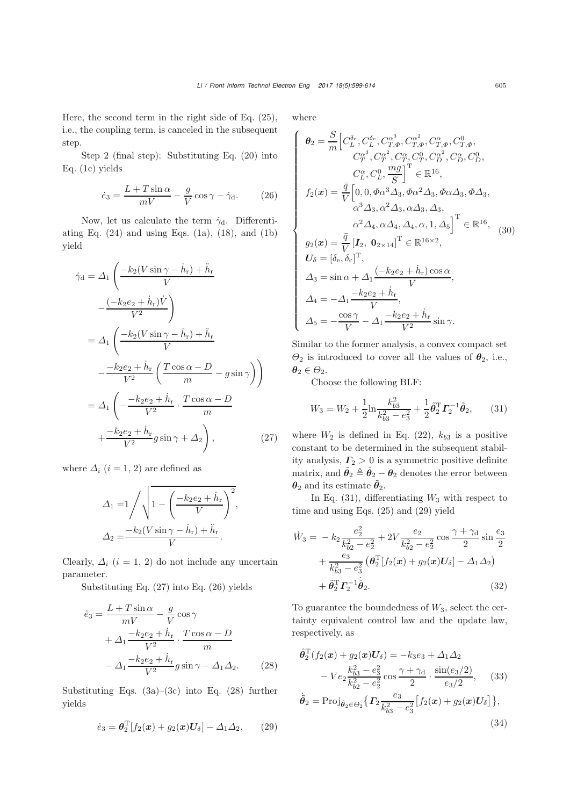Here, the second term in the right side of Eq. [\(25\)](#page-5-7), i.e., the coupling term, is canceled in the subsequent step.

Step 2 (final step): Substituting Eq. [\(20\)](#page-5-2) into Eq. [\(1c\)](#page-2-6) yields

<span id="page-6-1"></span>
$$
\dot{e}_3 = \frac{L + T\sin\alpha}{mV} - \frac{g}{V}\cos\gamma - \dot{\gamma}_d. \tag{26}
$$

Now, let us calculate the term  $\dot{\gamma}_d$ . Differentiating Eq.  $(24)$  and using Eqs.  $(1a)$ ,  $(18)$ , and  $(1b)$ yield

$$
\dot{\gamma}_{\rm d} = \Delta_1 \left( \frac{-k_2 (V \sin \gamma - \dot{h}_{\rm r}) + \ddot{h}_{\rm r}}{V} - \frac{(-k_2 e_2 + \dot{h}_{\rm r}) \dot{V}}{V^2} \right)
$$
  
\n
$$
= \Delta_1 \left( \frac{-k_2 (V \sin \gamma - \dot{h}_{\rm r}) + \ddot{h}_{\rm r}}{V} - \frac{-k_2 e_2 + \dot{h}_{\rm r}}{V^2} \left( \frac{T \cos \alpha - D}{m} - g \sin \gamma \right) \right)
$$
  
\n
$$
= \Delta_1 \left( -\frac{-k_2 e_2 + \dot{h}_{\rm r}}{V^2} \cdot \frac{T \cos \alpha - D}{m} + \frac{-k_2 e_2 + \dot{h}_{\rm r}}{V^2} g \sin \gamma + \Delta_2 \right), \qquad (27)
$$

where  $\Delta_i$   $(i = 1, 2)$  are defined as

$$
\Delta_1 = 1 / \sqrt{1 - \left(\frac{-k_2 e_2 + \dot{h}_r}{V}\right)^2},
$$
  

$$
\Delta_2 = \frac{-k_2 (V \sin \gamma - \dot{h}_r) + \ddot{h}_r}{V}.
$$

Clearly,  $\Delta_i$  (i = 1, 2) do not include any uncertain parameter.

Substituting Eq. [\(27\)](#page-6-0) into Eq. [\(26\)](#page-6-1) yields

$$
\dot{e}_3 = \frac{L + T \sin \alpha}{mV} - \frac{g}{V} \cos \gamma + \Delta_1 \frac{-k_2 e_2 + \dot{h}_r}{V^2} \cdot \frac{T \cos \alpha - D}{m} - \Delta_1 \frac{-k_2 e_2 + \dot{h}_r}{V^2} g \sin \gamma - \Delta_1 \Delta_2.
$$
 (28)

Substituting Eqs. [\(3a\)](#page-2-9)–[\(3c\)](#page-2-12) into Eq. [\(28\)](#page-6-2) further yields

<span id="page-6-4"></span>
$$
\dot{e}_3 = \boldsymbol{\theta}_2^{\mathrm{T}} [f_2(\boldsymbol{x}) + g_2(\boldsymbol{x}) \boldsymbol{U}_\delta] - \Delta_1 \Delta_2, \qquad (29)
$$

where

<span id="page-6-8"></span>
$$
\begin{cases}\n\boldsymbol{\theta}_{2} = \frac{S}{m} \Big[ C_{L}^{\delta_{e}}, C_{L}^{\delta_{c}}, C_{T,\phi}^{\alpha^{2}}, C_{T,\phi}^{\alpha}, C_{T,\phi}^{\alpha}, C_{T,\phi}^{0}, C_{T,\phi}^{\alpha}, \\
C_{T}^{\alpha^{3}}, C_{T}^{\alpha^{2}}, C_{T}^{\alpha}, C_{T}^{0}, C_{D}^{\alpha^{2}}, C_{D}^{\alpha}, C_{D}^{0}, \\
C_{L}^{\alpha}, C_{L}^{0}, \frac{mg}{S} \Big]^{T} \in \mathbb{R}^{16}, \\
f_{2}(\boldsymbol{x}) = \frac{\bar{q}}{V} \Big[ 0, 0, \boldsymbol{\Phi}\alpha^{3} \Delta_{3}, \boldsymbol{\Phi}\alpha^{2} \Delta_{3}, \boldsymbol{\Phi}\alpha \Delta_{3}, \boldsymbol{\Phi}\Delta_{3}, \\
\alpha^{3} \Delta_{3}, \alpha^{2} \Delta_{3}, \alpha \Delta_{3}, \Delta_{3}, \\
\alpha^{2} \Delta_{4}, \alpha \Delta_{4}, \Delta_{4}, \alpha, 1, \Delta_{5} \Big]^{T} \in \mathbb{R}^{16}, \\
g_{2}(\boldsymbol{x}) = \frac{\bar{q}}{V} \left[ I_{2}, \boldsymbol{0}_{2 \times 14} \right]^{T} \in \mathbb{R}^{16 \times 2}, \\
U_{\delta} = [\delta_{e}, \delta_{c}]^{T}, \\
\Delta_{3} = \sin \alpha + \Delta_{1} \frac{(-k_{2}e_{2} + \dot{h}_{r}) \cos \alpha}{V}, \\
\Delta_{4} = -\Delta_{1} \frac{-k_{2}e_{2} + \dot{h}_{r}}{V}, \\
\Delta_{5} = -\frac{\cos \gamma}{V} - \Delta_{1} \frac{-k_{2}e_{2} + \dot{h}_{r}}{V^{2}} \sin \gamma.\n\end{cases}
$$

Similar to the former analysis, a convex compact set  $\Theta_2$  is introduced to cover all the values of  $\theta_2$ , i.e.,  $\theta_2 \in \Theta_2$ .

Choose the following BLF:

<span id="page-6-3"></span>
$$
W_3 = W_2 + \frac{1}{2} \ln \frac{k_{b3}^2}{k_{b3}^2 - e_3^2} + \frac{1}{2} \tilde{\theta}_2^{\mathrm{T}} \mathbf{\Gamma}_2^{-1} \tilde{\theta}_2, \qquad (31)
$$

<span id="page-6-0"></span>where  $W_2$  is defined in Eq. [\(22\)](#page-5-9),  $k_{b3}$  is a positive constant to be determined in the subsequent stability analysis,  $\Gamma_2 > 0$  is a symmetric positive definite matrix, and  $\tilde{\theta}_2 \triangleq \hat{\theta}_2 - \theta_2$  denotes the error between  $\theta_2$  and its estimate  $\hat{\theta}_2$ .

In Eq.  $(31)$ , differentiating  $W_3$  with respect to time and using Eqs. [\(25\)](#page-5-7) and [\(29\)](#page-6-4) yield

$$
\dot{W}_3 = -k_2 \frac{e_2^2}{k_{b2}^2 - e_2^2} + 2V \frac{e_2}{k_{b2}^2 - e_2^2} \cos \frac{\gamma + \gamma_d}{2} \sin \frac{e_3}{2} \n+ \frac{e_3}{k_{b3}^2 - e_3^2} \left( \theta_2^{\text{T}} [f_2(\boldsymbol{x}) + g_2(\boldsymbol{x}) \boldsymbol{U}_{\delta}] - \Delta_1 \Delta_2 \right) \n+ \tilde{\theta}_2^{\text{T}} \boldsymbol{\Gamma}_2^{-1} \dot{\tilde{\theta}}_2.
$$
\n(32)

To guarantee the boundedness of  $W_3$ , select the certainty equivalent control law and the update law, respectively, as

<span id="page-6-7"></span><span id="page-6-6"></span><span id="page-6-5"></span>*θ*ˆT

<span id="page-6-2"></span>
$$
\hat{\theta}_2^{\mathrm{T}}(f_2(\mathbf{x}) + g_2(\mathbf{x})U_\delta) = -k_3 e_3 + \Delta_1 \Delta_2 \n- V e_2 \frac{k_{b3}^2 - e_3^2}{k_{b2}^2 - e_2^2} \cos \frac{\gamma + \gamma_\mathrm{d}}{2} \cdot \frac{\sin(e_3/2)}{e_3/2}, \quad (33) \n\dot{\hat{\theta}}_2 = \text{Proj}_{\hat{\theta}_2 \in \Theta_2} \{ \Gamma_2 \frac{e_3}{k_{b3}^2 - e_3^2} [f_2(\mathbf{x}) + g_2(\mathbf{x})U_\delta] \}, \quad (34)
$$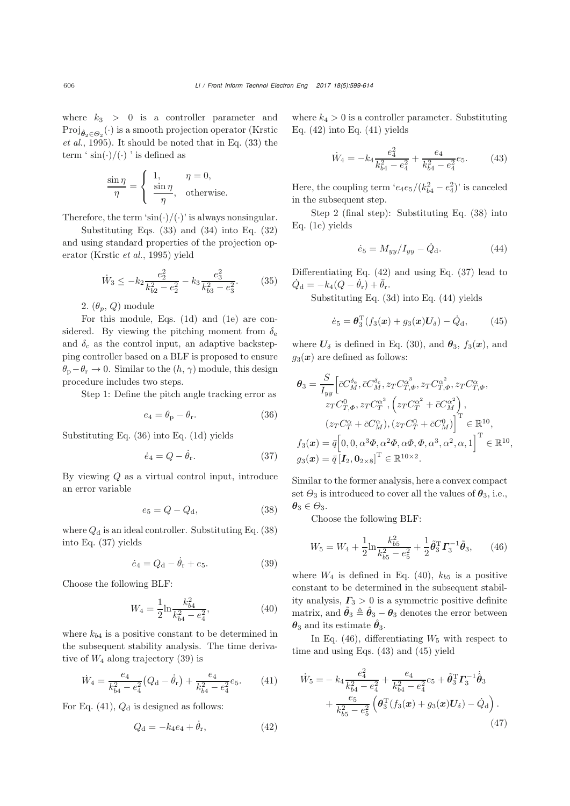where  $k_3 > 0$  is a controller parameter and Proj<sub>θο∈Θο</sub><sup>(·)</sup> [is](#page-14-24) [a](#page-14-24) [smooth](#page-14-24) [projection](#page-14-24) [operator](#page-14-24) [\(](#page-14-24)Krstic *et al.*, [1995\)](#page-14-24). It should be noted that in Eq. [\(33\)](#page-6-5) the term '  $\sin(\cdot)/(\cdot)$  ' is defined as

$$
\frac{\sin \eta}{\eta} = \begin{cases} 1, & \eta = 0, \\ \frac{\sin \eta}{\eta}, & \text{otherwise.} \end{cases}
$$

Therefore, the term ' $\sin(\cdot)/(\cdot)$ ' is always nonsingular.

Substituting Eqs. [\(33\)](#page-6-5) and [\(34\)](#page-6-6) into Eq. [\(32\)](#page-6-7) and using standard properties of the projection operator [\(Krstic](#page-14-24) *et al.*, [1995](#page-14-24)) yield

<span id="page-7-12"></span>
$$
\dot{W}_3 \le -k_2 \frac{e_2^2}{k_{b2}^2 - e_2^2} - k_3 \frac{e_3^2}{k_{b3}^2 - e_3^2}.
$$
 (35)

2.  $(\theta_p, Q)$  module

For this module, Eqs. [\(1d\)](#page-2-7) and [\(1e\)](#page-2-2) are considered. By viewing the pitching moment from  $\delta_e$ and  $\delta_c$  as the control input, an adaptive backstepping controller based on a BLF is proposed to ensure  $\theta_{\rm p}-\theta_{\rm r} \to 0$ . Similar to the  $(h, \gamma)$  module, this design procedure includes two steps.

Step 1: Define the pitch angle tracking error as

<span id="page-7-0"></span>
$$
e_4 = \theta_{\rm p} - \theta_{\rm r}.\tag{36}
$$

Substituting Eq. [\(36\)](#page-7-0) into Eq. [\(1d\)](#page-2-7) yields

<span id="page-7-2"></span>
$$
\dot{e}_4 = Q - \dot{\theta}_r. \tag{37}
$$

By viewing  $Q$  as a virtual control input, introduce an error variable

<span id="page-7-1"></span>
$$
e_5 = Q - Q_d, \tag{38}
$$

where  $Q_d$  is an ideal controller. Substituting Eq. [\(38\)](#page-7-1) into Eq. [\(37\)](#page-7-2) yields

<span id="page-7-3"></span>
$$
\dot{e}_4 = Q_d - \dot{\theta}_r + e_5. \tag{39}
$$

Choose the following BLF:

<span id="page-7-7"></span>
$$
W_4 = \frac{1}{2} \ln \frac{k_{b4}^2}{k_{b4}^2 - e_4^2},\tag{40}
$$

where  $k_{b4}$  is a positive constant to be determined in the subsequent stability analysis. The time derivative of  $W_4$  along trajectory [\(39\)](#page-7-3) is

<span id="page-7-4"></span>
$$
\dot{W}_4 = \frac{e_4}{k_{b4}^2 - e_4^2} \left( Q_\mathrm{d} - \dot{\theta}_\mathrm{r} \right) + \frac{e_4}{k_{b4}^2 - e_4^2} e_5. \tag{41}
$$

For Eq.  $(41)$ ,  $Q_d$  is designed as follows:

<span id="page-7-5"></span>
$$
Q_{\rm d} = -k_4 e_4 + \dot{\theta}_{\rm r},\tag{42}
$$

where  $k_4 > 0$  is a controller parameter. Substituting Eq.  $(42)$  into Eq.  $(41)$  yields

<span id="page-7-9"></span>
$$
\dot{W}_4 = -k_4 \frac{e_4^2}{k_{b4}^2 - e_4^2} + \frac{e_4}{k_{b4}^2 - e_4^2} e_5.
$$
 (43)

Here, the coupling term ' $e_4e_5/(k_{b4}^2 - e_4^2)$ ' is canceled<br>in the subsequent step. in the subsequent step.

Step 2 (final step): Substituting Eq. [\(38\)](#page-7-1) into Eq. [\(1e\)](#page-2-2) yields

<span id="page-7-6"></span>
$$
\dot{e}_5 = M_{yy}/I_{yy} - \dot{Q}_{\rm d}.
$$
 (44)

Differentiating Eq. [\(42\)](#page-7-5) and using Eq. [\(37\)](#page-7-2) lead to  $\dot{Q}_{\rm d} = -k_4(Q - \dot{\theta}_{\rm r}) + \ddot{\theta}_{\rm r}.$ <br>Substituting Eq. (2)

Substituting Eq. [\(3d\)](#page-2-13) into Eq. [\(44\)](#page-7-6) yields

<span id="page-7-10"></span>
$$
\dot{e}_5 = \theta_3^{\rm T} (f_3(\bm{x}) + g_3(\bm{x}) \bm{U}_\delta) - \dot{Q}_{\rm d}, \qquad (45)
$$

where  $U_{\delta}$  is defined in Eq. [\(30\)](#page-6-8), and  $\theta_3$ ,  $f_3(x)$ , and  $g_3(x)$  are defined as follows:

$$
\theta_3 = \frac{S}{I_{yy}} \Big[ \bar{c}C_M^{\delta_{\rm e}}, \bar{c}C_M^{\delta_{\rm e}}, z_T C_{T,\Phi}^{\alpha^3}, z_T C_{T,\Phi}^{\alpha^2}, z_T C_{T,\Phi}^{\alpha},
$$
  
\n
$$
z_T C_{T,\Phi}^0, z_T C_T^{\alpha^3}, \left( z_T C_T^{\alpha^2} + \bar{c}C_M^{\alpha^2} \right),
$$
  
\n
$$
\left( z_T C_T^{\alpha} + \bar{c}C_M^{\alpha} \right), \left( z_T C_T^0 + \bar{c}C_M^0 \right) \Big]^{\rm T} \in \mathbb{R}^{10},
$$
  
\n
$$
f_3(\mathbf{x}) = \bar{q} \Big[ 0, 0, \alpha^3 \Phi, \alpha^2 \Phi, \alpha \Phi, \Phi, \alpha^3, \alpha^2, \alpha, 1 \Big]^{\rm T} \in \mathbb{R}^{10},
$$
  
\n
$$
g_3(\mathbf{x}) = \bar{q} \Big[ I_2, \mathbf{0}_{2 \times 8} \Big]^{\rm T} \in \mathbb{R}^{10 \times 2}.
$$

Similar to the former analysis, here a convex compact set  $\Theta_3$  is introduced to cover all the values of  $\theta_3$ , i.e.,  $\theta_3 \in \Theta_3$ .

Choose the following BLF:

<span id="page-7-8"></span>
$$
W_5 = W_4 + \frac{1}{2} \ln \frac{k_{b5}^2}{k_{b5}^2 - e_5^2} + \frac{1}{2} \tilde{\theta}_3^{\mathrm{T}} \mathbf{\Gamma}_3^{-1} \tilde{\theta}_3, \qquad (46)
$$

where  $W_4$  is defined in Eq. [\(40\)](#page-7-7),  $k_{b5}$  is a positive constant to be determined in the subsequent stability analysis,  $\Gamma_3 > 0$  is a symmetric positive definite matrix, and  $\tilde{\theta}_3 \triangleq \hat{\theta}_3 - \theta_3$  denotes the error between  $\theta_3$  and its estimate  $\hat{\theta}_3$ .

In Eq. [\(46\)](#page-7-8), differentiating  $W_5$  with respect to time and using Eqs. [\(43\)](#page-7-9) and [\(45\)](#page-7-10) yield

<span id="page-7-11"></span>
$$
\dot{W}_5 = -k_4 \frac{e_4^2}{k_{b4}^2 - e_4^2} + \frac{e_4}{k_{b4}^2 - e_4^2} e_5 + \tilde{\theta}_3^{\mathrm{T}} \Gamma_3^{-1} \dot{\hat{\theta}}_3 \n+ \frac{e_5}{k_{b5}^2 - e_5^2} \left( \theta_3^{\mathrm{T}} (f_3(\boldsymbol{x}) + g_3(\boldsymbol{x}) U_\delta) - \dot{Q}_\mathrm{d} \right).
$$
\n(47)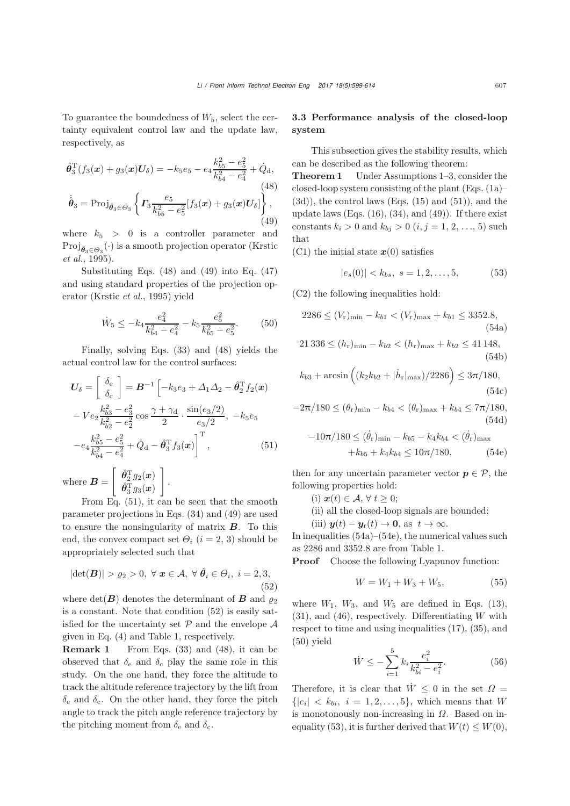To guarantee the boundedness of  $W_5$ , select the certainty equivalent control law and the update law, respectively, as

<span id="page-8-4"></span>
$$
\hat{\theta}_3^{\mathrm{T}}(f_3(\boldsymbol{x}) + g_3(\boldsymbol{x})\boldsymbol{U}_\delta) = -k_5 e_5 - e_4 \frac{k_{b5}^2 - e_5^2}{k_{b4}^2 - e_4^2} + \dot{Q}_\mathrm{d},
$$
\n
$$
\dot{\hat{\theta}}_3 = \mathrm{Proj}_{\hat{\theta}_3 \in \Theta_3} \left\{ \boldsymbol{\Gamma}_3 \frac{e_5}{k_{b5}^2 - e_5^2} [f_3(\boldsymbol{x}) + g_3(\boldsymbol{x}) \boldsymbol{U}_\delta] \right\}, \tag{49}
$$

<span id="page-8-5"></span>where  $k_5 > 0$  is a controller parameter and  $Proj_{\hat{\theta}_3 \in \Theta_3}(\cdot)$  $Proj_{\hat{\theta}_3 \in \Theta_3}(\cdot)$  $Proj_{\hat{\theta}_3 \in \Theta_3}(\cdot)$  $Proj_{\hat{\theta}_3 \in \Theta_3}(\cdot)$  $Proj_{\hat{\theta}_3 \in \Theta_3}(\cdot)$  [is](#page-14-24) a [smooth](#page-14-24) [projection](#page-14-24) [operator](#page-14-24) (Krstic *et al.*, [1995\)](#page-14-24).

Substituting Eqs.  $(48)$  and  $(49)$  into Eq.  $(47)$ and using standard properties of the projection operator [\(Krstic](#page-14-24) *et al.*, [1995](#page-14-24)) yield

<span id="page-8-8"></span>
$$
\dot{W}_5 \le -k_4 \frac{e_4^2}{k_{b4}^2 - e_4^2} - k_5 \frac{e_5^2}{k_{b5}^2 - e_5^2}.
$$
 (50)

Finally, solving Eqs. [\(33\)](#page-6-5) and [\(48\)](#page-8-4) yields the actual control law for the control surfaces:

$$
U_{\delta} = \begin{bmatrix} \delta_{\rm e} \\ \delta_{\rm c} \end{bmatrix} = \mathbf{B}^{-1} \left[ -k_3 e_3 + \Delta_1 \Delta_2 - \hat{\theta}_2^{\rm T} f_2(\mathbf{x}) - V e_2 \frac{k_{b3}^2 - e_3^2}{k_{b2}^2 - e_2^2} \cos \frac{\gamma + \gamma_{\rm d}}{2} \cdot \frac{\sin(e_3/2)}{e_3/2}, -k_5 e_5 - e_4 \frac{k_{b5}^2 - e_5^2}{k_{b4}^2 - e_4^2} + \dot{Q}_{\rm d} - \hat{\theta}_3^{\rm T} f_3(\mathbf{x}) \right]^{\rm T}, \tag{51}
$$

where  $B =$  $\begin{bmatrix} \hat{\theta}_2^\mathrm{T} g_2(\bm{x})\ \hat{\theta}_3^\mathrm{T} g_3(\bm{x})\ \end{bmatrix}$ 1

From Eq. [\(51\)](#page-8-6), it can be seen that the smooth parameter projections in Eqs. [\(34\)](#page-6-6) and [\(49\)](#page-8-5) are used to ensure the nonsingularity of matrix *B*. To this end, the convex compact set  $\Theta_i$  (i = 2, 3) should be appropriately selected such that

<span id="page-8-7"></span>
$$
|\det(\boldsymbol{B})| > \varrho_2 > 0, \ \forall \ \boldsymbol{x} \in \mathcal{A}, \ \forall \ \hat{\theta}_i \in \Theta_i, \ i = 2, 3,
$$
\n
$$
(52)
$$

where  $det(\mathbf{B})$  denotes the determinant of  $\mathbf{B}$  and  $\rho_2$ is a constant. Note that condition [\(52\)](#page-8-7) is easily satisfied for the uncertainty set  $P$  and the envelope  $\mathcal A$ given in Eq. [\(4\)](#page-2-11) and Table 1, respectively.

Remark 1 From Eqs. [\(33\)](#page-6-5) and [\(48\)](#page-8-4), it can be observed that  $\delta_e$  and  $\delta_c$  play the same role in this study. On the one hand, they force the altitude to track the altitude reference trajectory by the lift from  $\delta_e$  and  $\delta_c$ . On the other hand, they force the pitch angle to track the pitch angle reference trajectory by the pitching moment from  $\delta_{\rm e}$  and  $\delta_{\rm c}$ .

## 3.3 Performance analysis of the closed-loop system

This subsection gives the stability results, which can be described as the following theorem:

<span id="page-8-0"></span>Theorem 1 Under Assumptions [1–](#page-3-0)[3,](#page-3-4) consider the closed-loop system consisting of the plant  $(Eqs. (1a)–$  $(Eqs. (1a)–$  $(Eqs. (1a)–$  $(3d)$ , the control laws (Eqs.  $(15)$  and  $(51)$ ), and the update laws (Eqs.  $(16)$ ,  $(34)$ , and  $(49)$ ). If there exist constants  $k_i > 0$  and  $k_{bj} > 0$   $(i, j = 1, 2, ..., 5)$  such that

(C1) the initial state  $x(0)$  satisfies

<span id="page-8-12"></span><span id="page-8-2"></span><span id="page-8-1"></span>
$$
|e_s(0)| < k_{bs}, \ s = 1, 2, \dots, 5,\tag{53}
$$

(C2) the following inequalities hold:

$$
2286 \le (V_r)_{\min} - k_{b1} < (V_r)_{\max} + k_{b1} \le 3352.8,\tag{54a}
$$

$$
21336 \le (h_r)_{\min} - k_{b2} < (h_r)_{\max} + k_{b2} \le 41148,\tag{54b}
$$

$$
k_{b3} + \arcsin\left( (k_2 k_{b2} + |\dot{h}_r|_{\text{max}}) / 2286 \right) \le 3\pi / 180,
$$
\n(54c)

$$
-2\pi/180 \le (\theta_r)_{\min} - k_{b4} < (\theta_r)_{\max} + k_{b4} \le 7\pi/180,
$$
\n(54d)

<span id="page-8-13"></span><span id="page-8-10"></span><span id="page-8-3"></span>
$$
-10\pi/180 \le (\dot{\theta}_r)_{\min} - k_{b5} - k_4 k_{b4} < (\dot{\theta}_r)_{\max} + k_{b5} + k_4 k_{b4} \le 10\pi/180,
$$
 (54e)

<span id="page-8-6"></span>then for any uncertain parameter vector  $p \in \mathcal{P}$ , the following properties hold:

- (i)  $\mathbf{x}(t) \in \mathcal{A}, \forall t \geq 0;$
- (ii) all the closed-loop signals are bounded;

(iii)  $y(t) - y_r(t) \to 0$ , as  $t \to \infty$ .

In inequalities [\(54a\)](#page-8-2)–[\(54e\)](#page-8-3), the numerical values such as 2286 and 3352.8 are from Table 1.<br>**Proof** Choose the following Lyapu

Choose the following Lyapunov function:

<span id="page-8-9"></span>
$$
W = W_1 + W_3 + W_5, \t\t(55)
$$

where  $W_1$ ,  $W_3$ , and  $W_5$  are defined in Eqs. [\(13\)](#page-4-4),  $(31)$ , and  $(46)$ , respectively. Differentiating W with respect to time and using inequalities [\(17\)](#page-5-10), [\(35\)](#page-7-12), and [\(50\)](#page-8-8) yield

<span id="page-8-11"></span>
$$
\dot{W} \le -\sum_{i=1}^{5} k_i \frac{e_i^2}{k_{bi}^2 - e_i^2}.\tag{56}
$$

Therefore, it is clear that  $\dot{W} \leq 0$  in the set  $\Omega =$  ${|e_i| \le k_{bi}, i = 1, 2, ..., 5},$  which means that W is monotonously non-increasing in  $\Omega$ . Based on in-equality [\(53\)](#page-8-1), it is further derived that  $W(t) \leq W(0)$ ,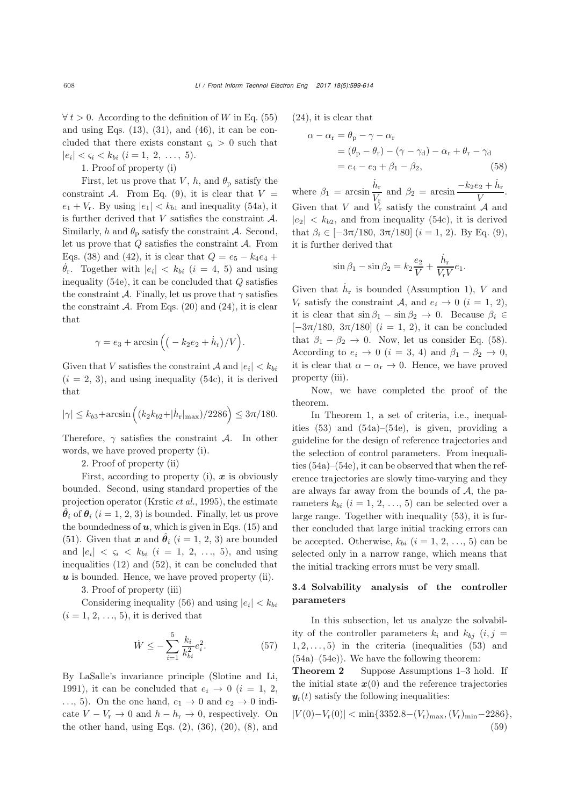$\forall t > 0$ . According to the definition of W in Eq. [\(55\)](#page-8-9) and using Eqs.  $(13)$ ,  $(31)$ , and  $(46)$ , it can be concluded that there exists constant  $\varsigma_i > 0$  such that  $|e_i| < \varsigma_i < k_{bi}$   $(i = 1, 2, ..., 5).$ 

1. Proof of property (i)

First, let us prove that V, h, and  $\theta_{\rm p}$  satisfy the constraint A. From Eq. [\(9\)](#page-4-0), it is clear that  $V =$  $e_1 + V_r$ . By using  $|e_1| < k_{b1}$  and inequality [\(54a\)](#page-8-2), it is further derived that  $V$  satisfies the constraint  $A$ . Similarly, h and  $\theta_p$  satisfy the constraint A. Second, let us prove that  $Q$  satisfies the constraint  $A$ . From Eqs. [\(38\)](#page-7-1) and [\(42\)](#page-7-5), it is clear that  $Q = e_5 - k_4e_4 +$  $\dot{\theta}_r$ . Together with  $|e_i| < k_{bi}$  ( $i = 4, 5$ ) and using<br>inequality (540) it can be concluded that Q estignees inequality  $(54e)$ , it can be concluded that Q satisfies the constraint A. Finally, let us prove that  $\gamma$  satisfies the constraint  $A$ . From Eqs. [\(20\)](#page-5-2) and [\(24\)](#page-5-6), it is clear that

$$
\gamma = e_3 + \arcsin\left(\left(-k_2e_2 + \dot{h}_r\right)/V\right).
$$

Given that V satisfies the constraint A and  $|e_i| < k_{bi}$  $(i = 2, 3)$ , and using inequality  $(54c)$ , it is derived that

$$
|\gamma| \le k_{b3} + \arcsin \left( (k_2 k_{b2} + |\dot{h}_r|_{\text{max}}) / 2286 \right) \le 3\pi/180.
$$

Therefore,  $\gamma$  satisfies the constraint A. In other words, we have proved property (i).

2. Proof of property (ii)

First, according to property (i), *x* is obviously bounded. Second, using standard properties of the projection operator [\(Krstic](#page-14-24) *et al.*, [1995\)](#page-14-24), the estimate  $\hat{\theta}_i$  of  $\theta_i$  (i = 1, 2, 3) is bounded. Finally, let us prove the boundedness of  $u$ , which is given in Eqs. [\(15\)](#page-5-0) and [\(51\)](#page-8-6). Given that *x* and  $\hat{\theta}_i$  (i = 1, 2, 3) are bounded and  $|e_i| < \zeta_i < k_{bi}$  (i = 1, 2, ..., 5), and using inequalities [\(12\)](#page-4-2) and [\(52\)](#page-8-7), it can be concluded that *u* is bounded. Hence, we have proved property (ii).

3. Proof of property (iii)

Considering inequality [\(56\)](#page-8-11) and using  $|e_i| < k_{bi}$  $(i = 1, 2, \ldots, 5)$ , it is derived that

$$
\dot{W} \le -\sum_{i=1}^{5} \frac{k_i}{k_{bi}^2} e_i^2. \tag{57}
$$

By LaSalle's invariance principle (Slotine and Li, 1991), it can be concluded that  $e_i \rightarrow 0$  ( $i = 1, 2,$ ..., 5). On the one hand,  $e_1 \rightarrow 0$  and  $e_2 \rightarrow 0$  indicate  $V - V_r \rightarrow 0$  and  $h - h_r \rightarrow 0$ , respectively. On the other hand, using Eqs.  $(2)$ ,  $(36)$ ,  $(20)$ ,  $(8)$ , and [\(24\)](#page-5-6), it is clear that

$$
\alpha - \alpha_{r} = \theta_{p} - \gamma - \alpha_{r}
$$
  
=  $(\theta_{p} - \theta_{r}) - (\gamma - \gamma_{d}) - \alpha_{r} + \theta_{r} - \gamma_{d}$   
=  $e_{4} - e_{3} + \beta_{1} - \beta_{2}$ , (58)

where  $\beta_1 = \arcsin \frac{\dot{h}_r}{V_r}$  and  $\beta_2 = \arcsin \frac{-k_2 e_2 + \dot{h}_r}{V}$ .<br>Given that V and  $V_r$  satisfy the constraint A and Given that V and  $V_r$  satisfy the constraint A and  $|e_2| < k_{b2}$ , and from inequality [\(54c\)](#page-8-10), it is derived that  $\beta_i \in [-3\pi/180, 3\pi/180]$   $(i = 1, 2)$ . By Eq. [\(9\)](#page-4-0), it is further derived that

<span id="page-9-0"></span>
$$
\sin \beta_1 - \sin \beta_2 = k_2 \frac{e_2}{V} + \frac{\dot{h}_r}{V_r V} e_1.
$$

Given that  $\dot{h}_{\rm r}$  is bounded (Assumption [1\)](#page-3-0), V and  $V_r$  satisfy the constraint A, and  $e_i \rightarrow 0$   $(i = 1, 2)$ , it is clear that  $\sin \beta_1 - \sin \beta_2 \to 0$ . Because  $\beta_i \in$  $[-3\pi/180, 3\pi/180]$   $(i = 1, 2)$ , it can be concluded that  $\beta_1 - \beta_2 \rightarrow 0$ . Now, let us consider Eq. [\(58\)](#page-9-0). According to  $e_i \rightarrow 0$   $(i = 3, 4)$  and  $\beta_1 - \beta_2 \rightarrow 0$ , it is clear that  $\alpha - \alpha_{\rm r} \rightarrow 0$ . Hence, we have proved property (iii).

Now, we have completed the proof of the theorem.

In Theorem [1,](#page-8-0) a set of criteria, i.e., inequalities [\(53\)](#page-8-1) and [\(54a\)](#page-8-2)–[\(54e\)](#page-8-3), is given, providing a guideline for the design of reference trajectories and the selection of control parameters. From inequalities [\(54a\)](#page-8-2)–[\(54e\)](#page-8-3), it can be observed that when the reference trajectories are slowly time-varying and they are always far away from the bounds of  $A$ , the parameters  $k_{bi}$   $(i = 1, 2, ..., 5)$  can be selected over a large range. Together with inequality [\(53\)](#page-8-1), it is further concluded that large initial tracking errors can be accepted. Otherwise,  $k_{bi}$   $(i = 1, 2, ..., 5)$  can be selected only in a narrow range, which means that the initial tracking errors must be very small.

## 3.4 Solvability analysis of the controller parameters

In this subsection, let us analyze the solvability of the controller parameters  $k_i$  and  $k_{bi}$   $(i, j =$  $1, 2, \ldots, 5$ ) in the criteria (inequalities  $(53)$  and [\(54a\)](#page-8-2)–[\(54e\)](#page-8-3)). We have the following theorem:

<span id="page-9-2"></span>Theorem 2 Suppose Assumptions [1](#page-3-0)[–3](#page-3-4) hold. If the initial state  $x(0)$  and the reference trajectories  $y_r(t)$  satisfy the following inequalities:

<span id="page-9-1"></span>
$$
|V(0) - V_r(0)| < \min\{3352.8 - (V_r)_{\text{max}}, (V_r)_{\text{min}} - 2286\},\
$$
\n
$$
(59)
$$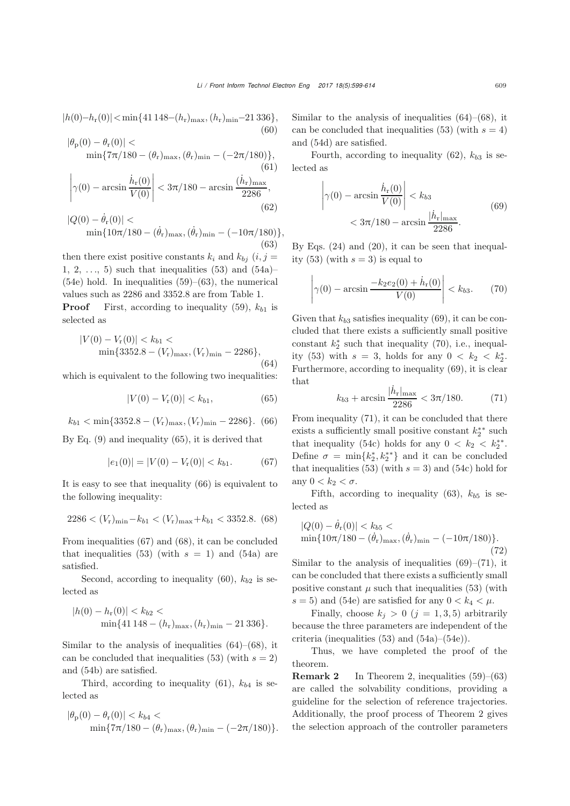<span id="page-10-5"></span> $|h(0)-h_{r}(0)|<\min\{41\,148-(h_{r})_{\max},(h_{r})_{\min}-21\,336\},$ (60)

<span id="page-10-7"></span>
$$
|\theta_{\rm p}(0) - \theta_{\rm r}(0)| \n\min\{7\pi/180 - (\theta_{\rm r})_{\rm max}, (\theta_{\rm r})_{\rm min} - (-2\pi/180)\},\tag{61}
$$
\n
$$
\left|\gamma(0) - \arcsin\frac{\dot{h}_{\rm r}(0)}{V(0)}\right| < 3\pi/180 - \arcsin\frac{(\dot{h}_{\rm r})_{\rm max}}{2286},\tag{62}
$$

<span id="page-10-8"></span><span id="page-10-0"></span>
$$
|Q(0) - \dot{\theta}_{r}(0)| < \min\{10\pi/180 - (\dot{\theta}_{r})_{\text{max}}, (\dot{\theta}_{r})_{\text{min}} - (-10\pi/180)\},
$$
\n(63)

then there exist positive constants  $k_i$  and  $k_{bi}$   $(i, j =$ 1, 2,  $\dots$ , 5) such that inequalities [\(53\)](#page-8-1) and [\(54a\)](#page-8-2)–  $(54e)$  hold. In inequalities  $(59)$ – $(63)$ , the numerical values such as 2286 and 3352.8 are from Table 1.<br>**Proof** First, according to inequality (59),  $k_b$ 

First, according to inequality [\(59\)](#page-9-1),  $k_{b1}$  is selected as

<span id="page-10-6"></span>
$$
|V(0) - V_{\rm r}(0)| < k_{b1} < \min\{3352.8 - (V_{\rm r})_{\rm max}, (V_{\rm r})_{\rm min} - 2286\},\tag{64}
$$

which is equivalent to the following two inequalities:

<span id="page-10-1"></span>
$$
|V(0) - V_{\rm r}(0)| < k_{b1}, \tag{65}
$$

<span id="page-10-2"></span>
$$
k_{b1} < \min\{3352.8 - (V_r)_{\max}, (V_r)_{\min} - 2286\}. \tag{66}
$$

By Eq. [\(9\)](#page-4-0) and inequality [\(65\)](#page-10-1), it is derived that

<span id="page-10-3"></span>
$$
|e_1(0)| = |V(0) - V_{\rm r}(0)| < k_{b1}.\tag{67}
$$

It is easy to see that inequality [\(66\)](#page-10-2) is equivalent to the following inequality:

<span id="page-10-4"></span>
$$
2286 < (V_r)_{\min} - k_{b1} < (V_r)_{\max} + k_{b1} < 3352.8.
$$
 (68)

From inequalities [\(67\)](#page-10-3) and [\(68\)](#page-10-4), it can be concluded that inequalities [\(53\)](#page-8-1) (with  $s = 1$ ) and [\(54a\)](#page-8-2) are satisfied.

Second, according to inequality [\(60\)](#page-10-5),  $k_{b2}$  is selected as

$$
|h(0) - h_{\rm r}(0)| < k_{b2} < \min\{41\,148 - (h_{\rm r})_{\rm max}, (h_{\rm r})_{\rm min} - 21\,336\}.
$$

Similar to the analysis of inequalities  $(64)$ – $(68)$ , it can be concluded that inequalities [\(53\)](#page-8-1) (with  $s = 2$ ) and [\(54b\)](#page-8-12) are satisfied.

Third, according to inequality [\(61\)](#page-10-7),  $k_{b4}$  is selected as

$$
|\theta_{\rm p}(0) - \theta_{\rm r}(0)| < k_{b4} < \min\{7\pi/180 - (\theta_{\rm r})_{\rm max}, (\theta_{\rm r})_{\rm min} - (-2\pi/180)\}.
$$

Similar to the analysis of inequalities  $(64)$ – $(68)$ , it can be concluded that inequalities [\(53\)](#page-8-1) (with  $s = 4$ ) and [\(54d\)](#page-8-13) are satisfied.

Fourth, according to inequality [\(62\)](#page-10-8),  $k_{b3}$  is selected as

<span id="page-10-9"></span>
$$
\left|\gamma(0) - \arcsin\frac{\dot{h}_r(0)}{V(0)}\right| < k_{b3}
$$
\n
$$
< 3\pi/180 - \arcsin\frac{|\dot{h}_r|_{\text{max}}}{2286}.\tag{69}
$$

By Eqs. [\(24\)](#page-5-6) and [\(20\)](#page-5-2), it can be seen that inequal-ity [\(53\)](#page-8-1) (with  $s = 3$ ) is equal to

<span id="page-10-10"></span>
$$
\left| \gamma(0) - \arcsin \frac{-k_2 e_2(0) + \dot{h}_r(0)}{V(0)} \right| < k_{b3}. \tag{70}
$$

Given that  $k_{b3}$  satisfies inequality [\(69\)](#page-10-9), it can be concluded that there exists a sufficiently small positive constant  $k_2^*$  such that inequality [\(70\)](#page-10-10), i.e., inequal-<br>ity (52) with  $a = 3$ , holds for any  $0 \leq k \leq k^*$ ity [\(53\)](#page-8-1) with  $s = 3$ , holds for any  $0 < k_2 < k_2^*$ .<br>Furthermore, according to inequality (60) it is clear Furthermore, according to inequality [\(69\)](#page-10-9), it is clear that

<span id="page-10-11"></span>
$$
k_{b3} + \arcsin \frac{|\dot{h}_r|_{\text{max}}}{2286} < 3\pi/180. \tag{71}
$$

From inequality [\(71\)](#page-10-11), it can be concluded that there exists a sufficiently small positive constant  $k_2^*$ \* such<br>that inequality (540) holds for any  $0 \le k \le k^{**}$ that inequality [\(54c\)](#page-8-10) holds for any  $0 < k_2 < k_2^{**}$ .<br>Define  $\sigma = \min\{k^*, k^{**}\}$  and it can be concluded Define  $\sigma = \min\{k_2^*, k_2^{**}\}\$  and it can be concluded<br>that inequalities (52) (with  $s = 2$ ) and (54e) hold for that inequalities [\(53\)](#page-8-1) (with  $s = 3$ ) and [\(54c\)](#page-8-10) hold for any  $0 < k_2 < \sigma$ .

Fifth, according to inequality  $(63)$ ,  $k_{b5}$  is selected as

$$
|Q(0) - \dot{\theta}_{r}(0)| < k_{b5} < \min\{10\pi/180 - (\dot{\theta}_{r})_{\text{max}}, (\dot{\theta}_{r})_{\text{min}} - (-10\pi/180)\}.\tag{72}
$$

Similar to the analysis of inequalities  $(69)$ – $(71)$ , it can be concluded that there exists a sufficiently small positive constant  $\mu$  such that inequalities [\(53\)](#page-8-1) (with  $s = 5$ ) and [\(54e\)](#page-8-3) are satisfied for any  $0 < k_4 < \mu$ .

Finally, choose  $k_j > 0$   $(j = 1, 3, 5)$  arbitrarily because the three parameters are independent of the criteria (inequalities [\(53\)](#page-8-1) and [\(54a\)](#page-8-2)–[\(54e\)](#page-8-3)).

Thus, we have completed the proof of the theorem.

**Remark 2** In Theorem [2,](#page-9-2) inequalities  $(59)$ – $(63)$ are called the solvability conditions, providing a guideline for the selection of reference trajectories. Additionally, the proof process of Theorem [2](#page-9-2) gives the selection approach of the controller parameters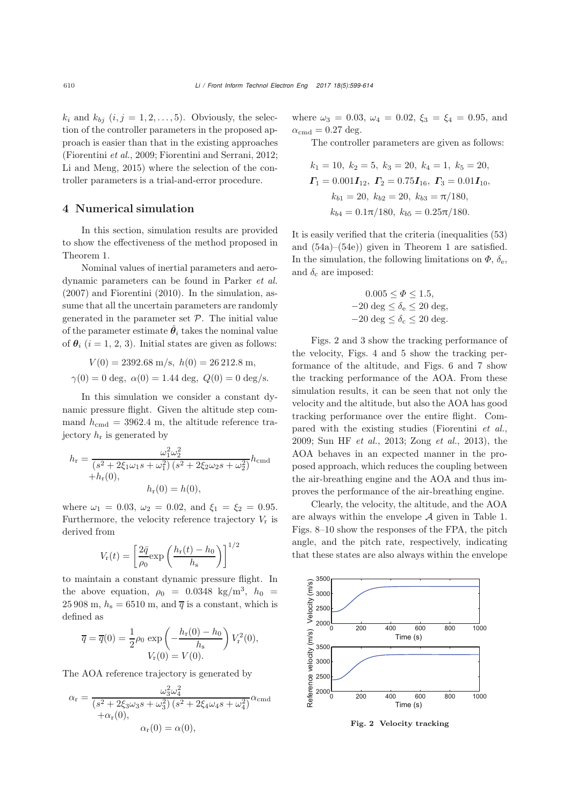$k_i$  and  $k_{bj}$   $(i, j = 1, 2, \ldots, 5)$ . Obviously, the selection of the controller parameters in the proposed approach is easier than that in the existing approaches [\(Fiorentini](#page-13-3) *et al.*, [2009;](#page-13-3) [Fiorentini and Serrani](#page-13-1), [2012;](#page-13-1) [Li and Meng, 2015](#page-14-19)) where the selection of the controller parameters is a trial-and-error procedure.

#### 4 Numerical simulation

In this section, simulation results are provided to show the effectiveness of the method proposed in Theorem [1.](#page-8-0)

Nominal values of inertial parameters and aerodynamic parameters can be found in [Parker](#page-14-4) *et al.* [\(2007](#page-14-4)) and [Fiorentini](#page-13-8) [\(2010\)](#page-13-8). In the simulation, assume that all the uncertain parameters are randomly generated in the parameter set  $P$ . The initial value of the parameter estimate  $\hat{\theta}_i$  takes the nominal value of  $\theta_i$  (i = 1, 2, 3). Initial states are given as follows:

$$
V(0) = 2392.68 \text{ m/s}, \ h(0) = 26212.8 \text{ m},
$$

$$
\gamma(0) = 0 \text{ deg}, \ \alpha(0) = 1.44 \text{ deg}, \ Q(0) = 0 \text{ deg/s}.
$$

In this simulation we consider a constant dynamic pressure flight. Given the altitude step command  $h_{\text{cmd}} = 3962.4 \text{ m}$ , the altitude reference trajectory  $h_r$  is generated by

$$
h_{\rm r} = \frac{\omega_1^2 \omega_2^2}{(s^2 + 2\xi_1\omega_1s + \omega_1^2)(s^2 + 2\xi_2\omega_2s + \omega_2^2)} h_{\rm cmd}
$$
  
+
$$
h_{\rm r}(0), \qquad h_{\rm r}(0) = h(0),
$$

where  $\omega_1 = 0.03$ ,  $\omega_2 = 0.02$ , and  $\xi_1 = \xi_2 = 0.95$ . Furthermore, the velocity reference trajectory  $V_r$  is derived from

$$
V_{\rm r}(t) = \left[\frac{2\bar{q}}{\rho_0} \exp\left(\frac{h_{\rm r}(t) - h_0}{h_{\rm s}}\right)\right]^{1/2}
$$

to maintain a constant dynamic pressure flight. In the above equation,  $\rho_0 = 0.0348 \text{ kg/m}^3$ ,  $h_0 =$ 25 908 m,  $h_s = 6510$  m, and  $\overline{q}$  is a constant, which is defined as

$$
\overline{q} = \overline{q}(0) = \frac{1}{2}\rho_0 \exp\left(-\frac{h_r(0) - h_0}{h_s}\right) V_r^2(0),
$$
  

$$
V_r(0) = V(0).
$$

The AOA reference trajectory is generated by

$$
\alpha_{\rm r} = \frac{\omega_3^2 \omega_4^2}{\left(s^2 + 2\xi_3\omega_3s + \omega_3^2\right)\left(s^2 + 2\xi_4\omega_4s + \omega_4^2\right)} \alpha_{\rm cmd}
$$

$$
+ \alpha_{\rm r}(0),
$$

$$
\alpha_{\rm r}(0) = \alpha(0),
$$

where  $\omega_3 = 0.03$ ,  $\omega_4 = 0.02$ ,  $\xi_3 = \xi_4 = 0.95$ , and  $\alpha_{\text{cmd}} = 0.27 \text{ deg.}$ 

The controller parameters are given as follows:

$$
k_1 = 10, k_2 = 5, k_3 = 20, k_4 = 1, k_5 = 20,
$$
  
\n
$$
\Gamma_1 = 0.001\mathbf{I}_{12}, \Gamma_2 = 0.75\mathbf{I}_{16}, \Gamma_3 = 0.01\mathbf{I}_{10},
$$
  
\n
$$
k_{b1} = 20, k_{b2} = 20, k_{b3} = \pi/180,
$$
  
\n
$$
k_{b4} = 0.1\pi/180, k_{b5} = 0.25\pi/180.
$$

It is easily verified that the criteria (inequalities [\(53\)](#page-8-1) and [\(54a\)](#page-8-2)–[\(54e\)](#page-8-3)) given in Theorem [1](#page-8-0) are satisfied. In the simulation, the following limitations on  $\Phi$ ,  $\delta_{\rm e}$ , and  $\delta_c$  are imposed:

$$
0.005 \le \Phi \le 1.5,
$$
  
-20 deg  $\le \delta_e \le 20$  deg,  
-20 deg  $\le \delta_c \le 20$  deg.

Figs. [2](#page-11-0) and [3](#page-12-0) show the tracking performance of the velocity, Figs. [4](#page-12-1) and [5](#page-12-2) show the tracking performance of the altitude, and Figs. [6](#page-12-3) and [7](#page-12-4) show the tracking performance of the AOA. From these simulation results, it can be seen that not only the velocity and the altitude, but also the AOA has good tracking performance over the entire flight. Compared with the existing studies [\(Fiorentini](#page-13-3) *et al.*, [2009](#page-13-3); [Sun HF](#page-14-10) *et al.*, [2013;](#page-14-10) [Zong](#page-15-2) *et al.*, [2013](#page-15-2)), the AOA behaves in an expected manner in the proposed approach, which reduces the coupling between the air-breathing engine and the AOA and thus improves the performance of the air-breathing engine.

Clearly, the velocity, the altitude, and the AOA are always within the envelope  $A$  given in Table [1.](#page-2-3) Figs. [8](#page-12-5)[–10](#page-13-9) show the responses of the FPA, the pitch angle, and the pitch rate, respectively, indicating that these states are also always within the envelope



<span id="page-11-0"></span>Fig. 2 Velocity tracking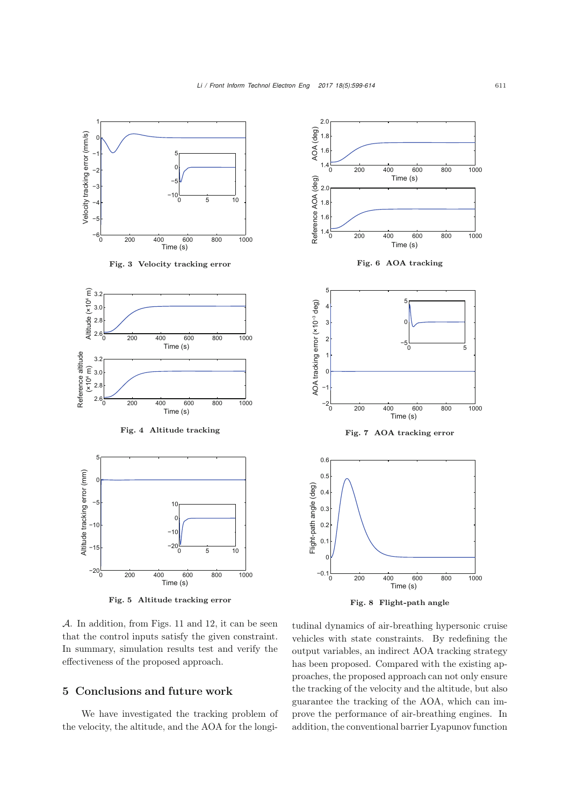<span id="page-12-0"></span>

<span id="page-12-2"></span><span id="page-12-1"></span>Fig. 5 Altitude tracking error

<span id="page-12-5"></span><span id="page-12-4"></span><span id="page-12-3"></span>Fig. 8 Flight-path angle

A. In addition, from Figs. [11](#page-13-10) and [12,](#page-13-11) it can be seen that the control inputs satisfy the given constraint. In summary, simulation results test and verify the effectiveness of the proposed approach.

# 5 Conclusions and future work

We have investigated the tracking problem of the velocity, the altitude, and the AOA for the longitudinal dynamics of air-breathing hypersonic cruise vehicles with state constraints. By redefining the output variables, an indirect AOA tracking strategy has been proposed. Compared with the existing approaches, the proposed approach can not only ensure the tracking of the velocity and the altitude, but also guarantee the tracking of the AOA, which can improve the performance of air-breathing engines. In addition, the conventional barrier Lyapunov function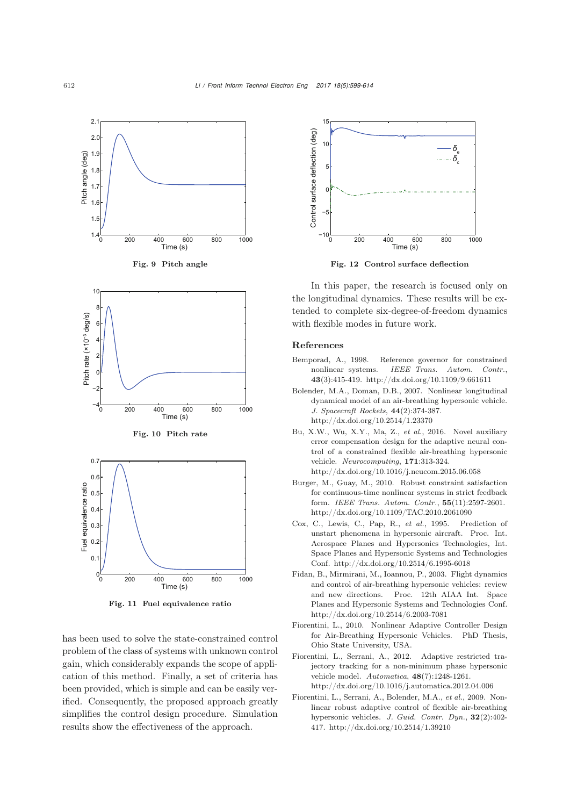

<span id="page-13-10"></span>Fig. 11 Fuel equivalence ratio

has been used to solve the state-constrained control problem of the class of systems with unknown control gain, which considerably expands the scope of application of this method. Finally, a set of criteria has been provided, which is simple and can be easily verified. Consequently, the proposed approach greatly simplifies the control design procedure. Simulation results show the effectiveness of the approach.



<span id="page-13-11"></span>Fig. 12 Control surface deflection

In this paper, the research is focused only on the longitudinal dynamics. These results will be extended to complete six-degree-of-freedom dynamics with flexible modes in future work.

#### References

- <span id="page-13-6"></span>Bemporad, A., 1998. Reference governor for constrained nonlinear systems. *IEEE Trans. Autom. Contr.*, 43(3):415-419. http://dx.doi.org/10.1109/9.661611
- <span id="page-13-2"></span>Bolender, M.A., Doman, D.B., 2007. Nonlinear longitudinal dynamical model of an air-breathing hypersonic vehicle. *J. Spacecraft Rockets*, 44(2):374-387. http://dx.doi.org/10.2514/1.23370
- <span id="page-13-9"></span><span id="page-13-7"></span>Bu, X.W., Wu, X.Y., Ma, Z., *et al.*, 2016. Novel auxiliary error compensation design for the adaptive neural control of a constrained flexible air-breathing hypersonic vehicle. *Neurocomputing*, 171:313-324. http://dx.doi.org/10.1016/j.neucom.2015.06.058
- <span id="page-13-5"></span>Burger, M., Guay, M., 2010. Robust constraint satisfaction for continuous-time nonlinear systems in strict feedback form. *IEEE Trans. Autom. Contr.*, 55(11):2597-2601. http://dx.doi.org/10.1109/TAC.2010.2061090
- <span id="page-13-4"></span>Cox, C., Lewis, C., Pap, R., *et al.*, 1995. Prediction of unstart phenomena in hypersonic aircraft. Proc. Int. Aerospace Planes and Hypersonics Technologies, Int. Space Planes and Hypersonic Systems and Technologies Conf. http://dx.doi.org/10.2514/6.1995-6018
- <span id="page-13-0"></span>Fidan, B., Mirmirani, M., Ioannou, P., 2003. Flight dynamics and control of air-breathing hypersonic vehicles: review and new directions. Proc. 12th AIAA Int. Space Planes and Hypersonic Systems and Technologies Conf. http://dx.doi.org/10.2514/6.2003-7081
- <span id="page-13-8"></span>Fiorentini, L., 2010. Nonlinear Adaptive Controller Design for Air-Breathing Hypersonic Vehicles. PhD Thesis, Ohio State University, USA.
- <span id="page-13-1"></span>Fiorentini, L., Serrani, A., 2012. Adaptive restricted trajectory tracking for a non-minimum phase hypersonic vehicle model. *Automatica*, 48(7):1248-1261. http://dx.doi.org/10.1016/j.automatica.2012.04.006
- <span id="page-13-3"></span>Fiorentini, L., Serrani, A., Bolender, M.A., *et al.*, 2009. Nonlinear robust adaptive control of flexible air-breathing hypersonic vehicles. *J. Guid. Contr. Dyn.*, 32(2):402- 417. http://dx.doi.org/10.2514/1.39210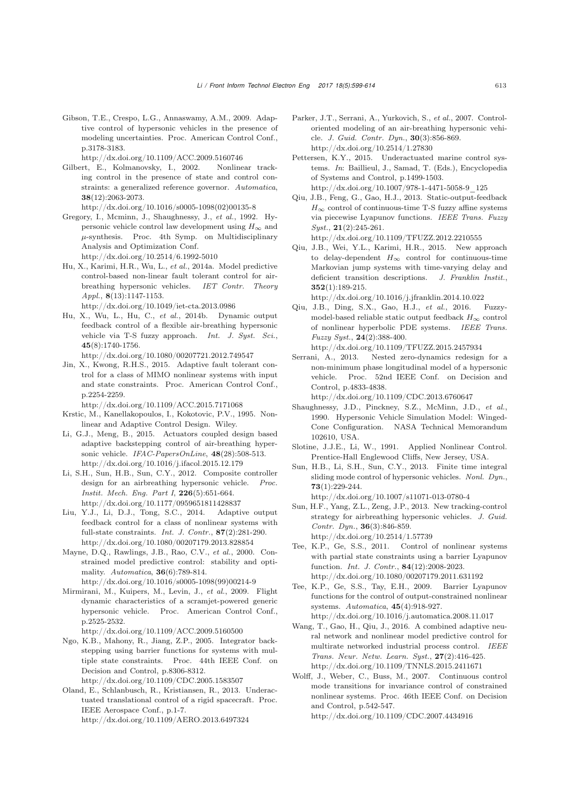<span id="page-14-7"></span>Gibson, T.E., Crespo, L.G., Annaswamy, A.M., 2009. Adaptive control of hypersonic vehicles in the presence of modeling uncertainties. Proc. American Control Conf., p.3178-3183.

http://dx.doi.org/10.1109/ACC.2009.5160746

- <span id="page-14-13"></span>Gilbert, E., Kolmanovsky, I., 2002. Nonlinear tracking control in the presence of state and control constraints: a generalized reference governor. *Automatica*, 38(12):2063-2073. http://dx.doi.org/10.1016/s0005-1098(02)00135-8
- Gregory, I., Mcminn, J., Shaughnessy, J., *et al.*, 1992. Hypersonic vehicle control law development using  $H_{\infty}$  and  $\mu$ -synthesis. Proc. 4th Symp. on Multidisciplinary Analysis and Optimization Conf. http://dx.doi.org/10.2514/6.1992-5010
- <span id="page-14-0"></span>Hu, X., Karimi, H.R., Wu, L., *et al.*, 2014a. Model predictive control-based non-linear fault tolerant control for airbreathing hypersonic vehicles. *IET Contr. Theory Appl.*, 8(13):1147-1153. http://dx.doi.org/10.1049/iet-cta.2013.0986
- <span id="page-14-8"></span>Hu, X., Wu, L., Hu, C., *et al.*, 2014b. Dynamic output feedback control of a flexible air-breathing hypersonic vehicle via T-S fuzzy approach. *Int. J. Syst. Sci.*, 45(8):1740-1756.
- <span id="page-14-18"></span>http://dx.doi.org/10.1080/00207721.2012.749547 Jin, X., Kwong, R.H.S., 2015. Adaptive fault tolerant control for a class of MIMO nonlinear systems with input and state constraints. Proc. American Control Conf., p.2254-2259.

http://dx.doi.org/10.1109/ACC.2015.7171068

- <span id="page-14-24"></span>Krstic, M., Kanellakopoulos, I., Kokotovic, P.V., 1995. Nonlinear and Adaptive Control Design. Wiley.
- <span id="page-14-19"></span>Li, G.J., Meng, B., 2015. Actuators coupled design based adaptive backstepping control of air-breathing hypersonic vehicle. *IFAC-PapersOnLine*, 48(28):508-513. http://dx.doi.org/10.1016/j.ifacol.2015.12.179
- <span id="page-14-2"></span>Li, S.H., Sun, H.B., Sun, C.Y., 2012. Composite controller design for an airbreathing hypersonic vehicle. *Instit. Mech. Eng. Part I*, 226(5):651-664. http://dx.doi.org/10.1177/0959651811428837
- <span id="page-14-17"></span>Liu, Y.J., Li, D.J., Tong, S.C., 2014. Adaptive output feedback control for a class of nonlinear systems with full-state constraints. *Int. J. Contr.*, 87(2):281-290. http://dx.doi.org/10.1080/00207179.2013.828854
- <span id="page-14-12"></span>Mayne, D.Q., Rawlings, J.B., Rao, C.V., *et al.*, 2000. Constrained model predictive control: stability and optimality. *Automatica*, 36(6):789-814. http://dx.doi.org/10.1016/s0005-1098(99)00214-9
- <span id="page-14-9"></span>Mirmirani, M., Kuipers, M., Levin, J., *et al.*, 2009. Flight dynamic characteristics of a scramjet-powered generic hypersonic vehicle. Proc. American Control Conf., p.2525-2532.

http://dx.doi.org/10.1109/ACC.2009.5160500

<span id="page-14-14"></span>Ngo, K.B., Mahony, R., Jiang, Z.P., 2005. Integrator backstepping using barrier functions for systems with multiple state constraints. Proc. 44th IEEE Conf. on Decision and Control, p.8306-8312.

http://dx.doi.org/10.1109/CDC.2005.1583507

<span id="page-14-20"></span>Oland, E., Schlanbusch, R., Kristiansen, R., 2013. Underactuated translational control of a rigid spacecraft. Proc. IEEE Aerospace Conf., p.1-7. http://dx.doi.org/10.1109/AERO.2013.6497324

- <span id="page-14-4"></span>Parker, J.T., Serrani, A., Yurkovich, S., *et al.*, 2007. Controloriented modeling of an air-breathing hypersonic vehicle. *J. Guid. Contr. Dyn.*, 30(3):856-869. http://dx.doi.org/10.2514/1.27830
- <span id="page-14-21"></span>Pettersen, K.Y., 2015. Underactuated marine control systems. *In*: Baillieul, J., Samad, T. (Eds.), Encyclopedia of Systems and Control, p.1499-1503. http://dx.doi.org/10.1007/978-1-4471-5058-9\_125
- <span id="page-14-23"></span>Qiu, J.B., Feng, G., Gao, H.J., 2013. Static-output-feedback  $H_{\infty}$  control of continuous-time T-S fuzzy affine systems via piecewise Lyapunov functions. *IEEE Trans. Fuzzy Syst.*, 21(2):245-261.

http://dx.doi.org/10.1109/TFUZZ.2012.2210555

<span id="page-14-5"></span>Qiu, J.B., Wei, Y.L., Karimi, H.R., 2015. New approach to delay-dependent  $H_{\infty}$  control for continuous-time Markovian jump systems with time-varying delay and deficient transition descriptions. *J. Franklin Instit.*, 352(1):189-215.

http://dx.doi.org/10.1016/j.jfranklin.2014.10.022

Qiu, J.B., Ding, S.X., Gao, H.J., *et al.*, 2016. Fuzzymodel-based reliable static output feedback  $H_{\infty}$  control of nonlinear hyperbolic PDE systems. *IEEE Trans. Fuzzy Syst.*, 24(2):388-400.

http://dx.doi.org/10.1109/TFUZZ.2015.2457934

- <span id="page-14-22"></span>Serrani, A., 2013. Nested zero-dynamics redesign for a non-minimum phase longitudinal model of a hypersonic vehicle. Proc. 52nd IEEE Conf. on Decision and Control, p.4833-4838. http://dx.doi.org/10.1109/CDC.2013.6760647
- <span id="page-14-1"></span>Shaughnessy, J.D., Pinckney, S.Z., McMinn, J.D., *et al.*, 1990. Hypersonic Vehicle Simulation Model: Winged-Cone Configuration. NASA Technical Memorandum 102610, USA.
- Slotine, J.J.E., Li, W., 1991. Applied Nonlinear Control. Prentice-Hall Englewood Cliffs, New Jersey, USA.
- <span id="page-14-3"></span>Sun, H.B., Li, S.H., Sun, C.Y., 2013. Finite time integral sliding mode control of hypersonic vehicles. *Nonl. Dyn.*, 73(1):229-244. http://dx.doi.org/10.1007/s11071-013-0780-4
- <span id="page-14-10"></span>Sun, H.F., Yang, Z.L., Zeng, J.P., 2013. New tracking-control strategy for airbreathing hypersonic vehicles. *J. Guid. Contr. Dyn.*, 36(3):846-859. http://dx.doi.org/10.2514/1.57739
- <span id="page-14-16"></span>Tee, K.P., Ge, S.S., 2011. Control of nonlinear systems with partial state constraints using a barrier Lyapunov function. *Int. J. Contr.*, 84(12):2008-2023. http://dx.doi.org/10.1080/00207179.2011.631192
- <span id="page-14-15"></span>Tee, K.P., Ge, S.S., Tay, E.H., 2009. Barrier Lyapunov functions for the control of output-constrained nonlinear systems. *Automatica*, 45(4):918-927. http://dx.doi.org/10.1016/j.automatica.2008.11.017
- <span id="page-14-6"></span>Wang, T., Gao, H., Qiu, J., 2016. A combined adaptive neural network and nonlinear model predictive control for multirate networked industrial process control. *IEEE Trans. Neur. Netw. Learn. Syst.*, 27(2):416-425. http://dx.doi.org/10.1109/TNNLS.2015.2411671
- <span id="page-14-11"></span>Wolff, J., Weber, C., Buss, M., 2007. Continuous control mode transitions for invariance control of constrained nonlinear systems. Proc. 46th IEEE Conf. on Decision and Control, p.542-547. http://dx.doi.org/10.1109/CDC.2007.4434916